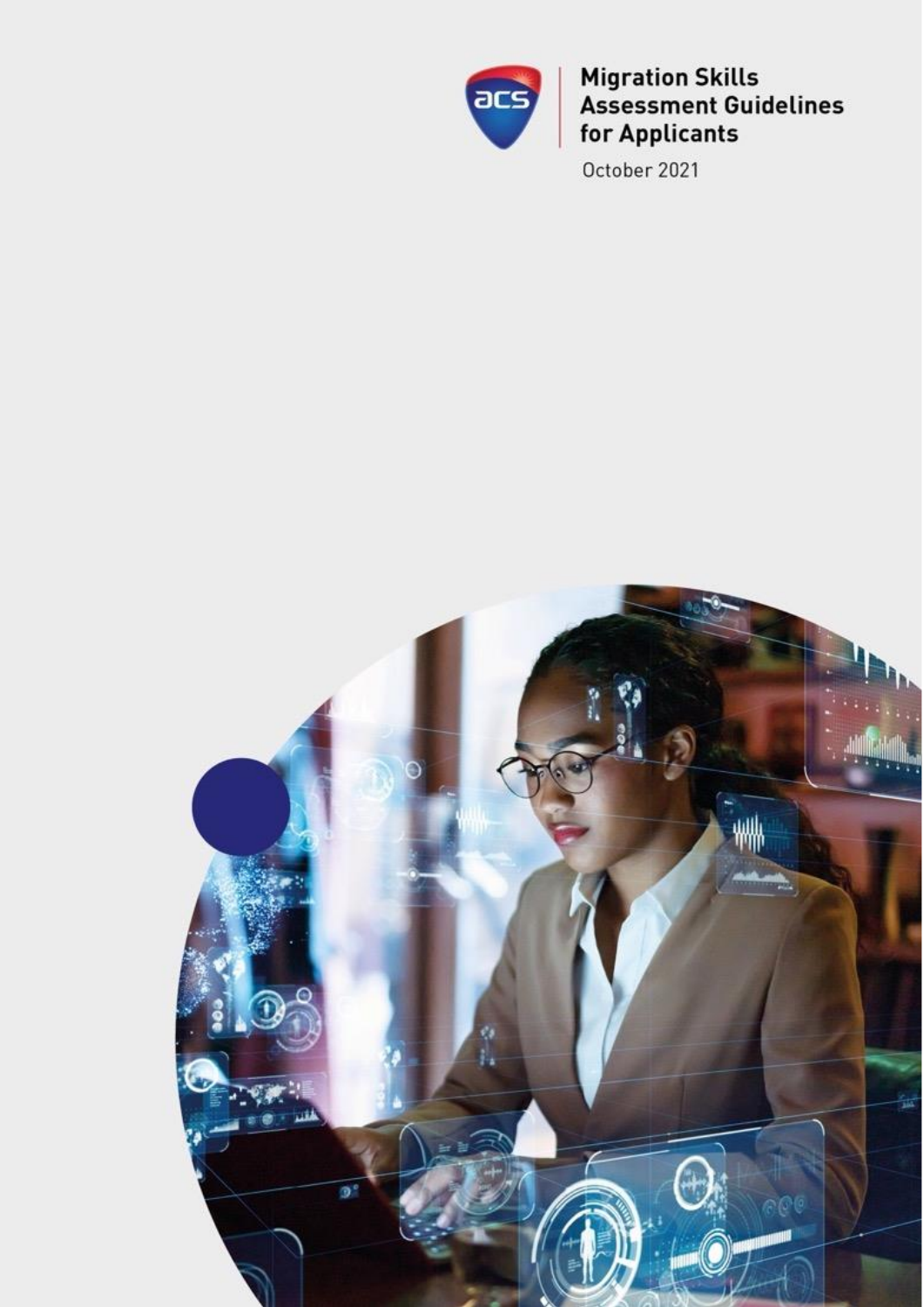

**Migration Skills<br>Assessment Guidelines** for Applicants

October 2021

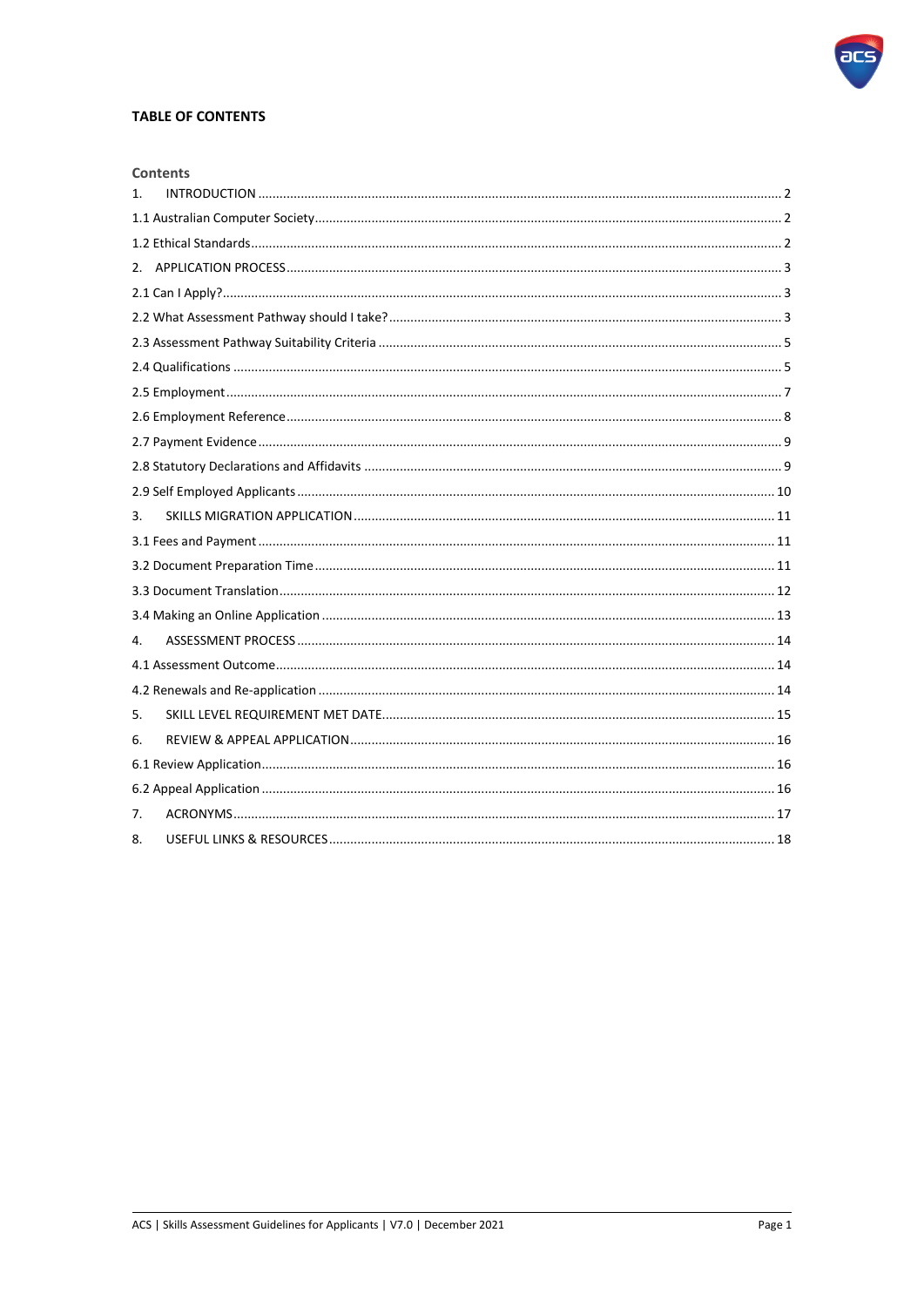

## **TABLE OF CONTENTS**

|    | <b>Contents</b> |  |  |
|----|-----------------|--|--|
| 1. |                 |  |  |
|    |                 |  |  |
|    |                 |  |  |
|    |                 |  |  |
|    |                 |  |  |
|    |                 |  |  |
|    |                 |  |  |
|    |                 |  |  |
|    |                 |  |  |
|    |                 |  |  |
|    |                 |  |  |
|    |                 |  |  |
|    |                 |  |  |
| 3. |                 |  |  |
|    |                 |  |  |
|    |                 |  |  |
|    |                 |  |  |
|    |                 |  |  |
| 4. |                 |  |  |
|    |                 |  |  |
|    |                 |  |  |
| 5. |                 |  |  |
| 6. |                 |  |  |
|    |                 |  |  |
|    |                 |  |  |
| 7. |                 |  |  |
| 8. |                 |  |  |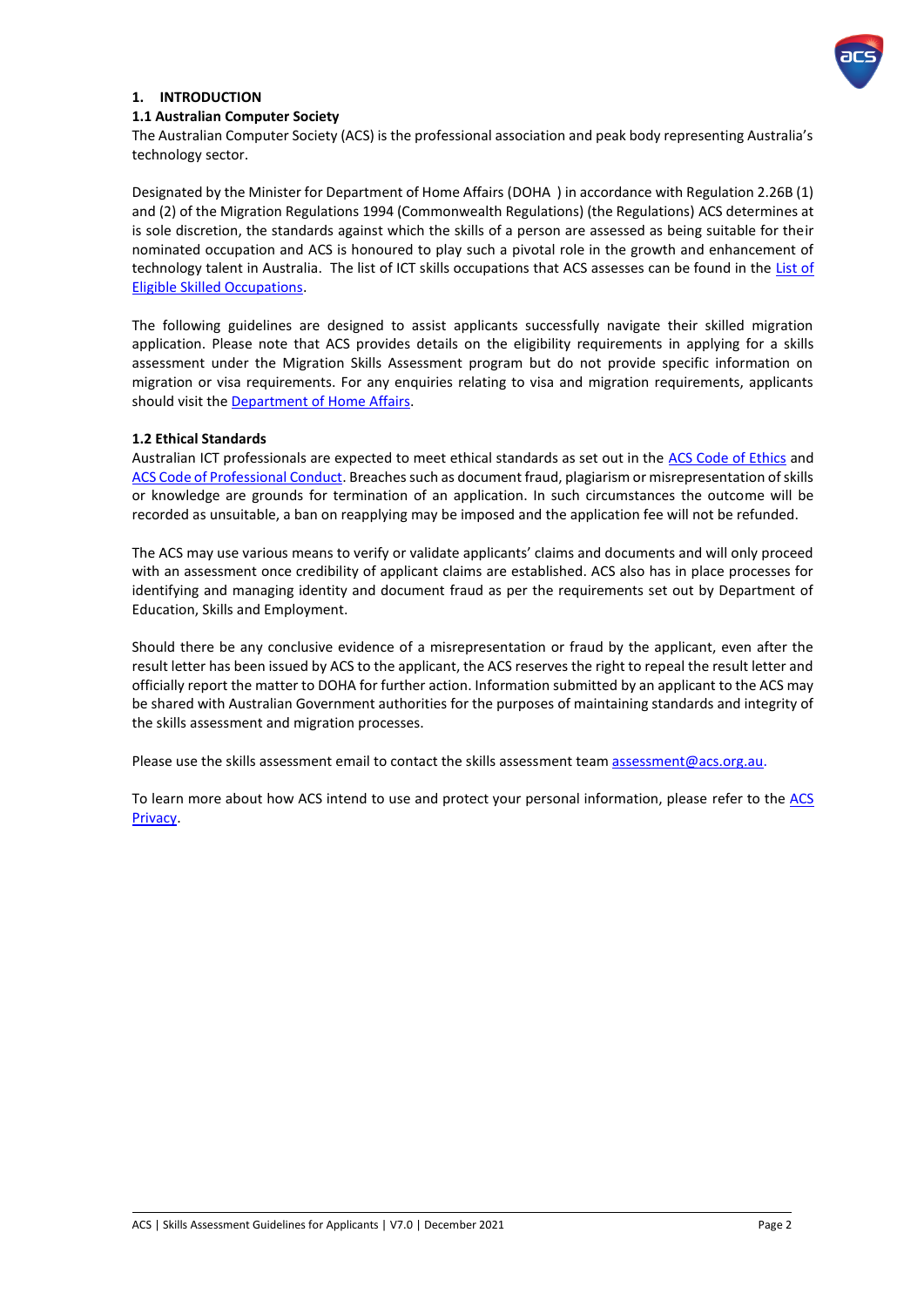

### <span id="page-2-0"></span>**1. INTRODUCTION**

### <span id="page-2-1"></span>**1.1 Australian Computer Society**

The Australian Computer Society (ACS) is the professional association and peak body representing Australia's technology sector.

Designated by the Minister for Department of Home Affairs (DOHA ) in accordance with Regulation 2.26B (1) and (2) of the Migration Regulations 1994 (Commonwealth Regulations) (the Regulations) ACS determines at is sole discretion, the standards against which the skills of a person are assessed as being suitable for their nominated occupation and ACS is honoured to play such a pivotal role in the growth and enhancement of technology talent in Australia. The list of ICT skills occupations that ACS assesses can be found in the [List of](https://immi.homeaffairs.gov.au/visas/working-in-australia/skill-occupation-list)  [Eligible Skilled Occupations.](https://immi.homeaffairs.gov.au/visas/working-in-australia/skill-occupation-list)

The following guidelines are designed to assist applicants successfully navigate their skilled migration application. Please note that ACS provides details on the eligibility requirements in applying for a skills assessment under the Migration Skills Assessment program but do not provide specific information on migration or visa requirements. For any enquiries relating to visa and migration requirements, applicants should visit the [Department of Home](http://www.border.gov.au/) Affairs.

### <span id="page-2-2"></span>**1.2 Ethical Standards**

Australian ICT professionals are expected to meet ethical standards as set out in the [ACS Code of Ethics](https://www.acs.org.au/content/dam/acs/acs-documents/Code-of-Ethics.pdf) and [ACS Code of Professional Conduct.](https://www.acs.org.au/content/dam/acs/rules-and-regulations/Code-of-Professional-Conduct_v2.1.pdf) Breaches such as document fraud, plagiarism or misrepresentation of skills or knowledge are grounds for termination of an application. In such circumstances the outcome will be recorded as unsuitable, a ban on reapplying may be imposed and the application fee will not be refunded.

The ACS may use various means to verify or validate applicants' claims and documents and will only proceed with an assessment once credibility of applicant claims are established. ACS also has in place processes for identifying and managing identity and document fraud as per the requirements set out by Department of Education, Skills and Employment.

Should there be any conclusive evidence of a misrepresentation or fraud by the applicant, even after the result letter has been issued by ACS to the applicant, the ACS reserves the right to repeal the result letter and officially report the matter to DOHA for further action. Information submitted by an applicant to the ACS may be shared with Australian Government authorities for the purposes of maintaining standards and integrity of the skills assessment and migration processes.

Please use the skills assessment email to contact the skills assessment tea[m assessment@acs.org.au.](mailto:assessment@acs.org.au)

To learn more about how [ACS](https://www.acs.org.au/privacy-policy.html) intend to use and protect your personal information, please refer to the ACS [Privacy.](https://www.acs.org.au/privacy-policy.html)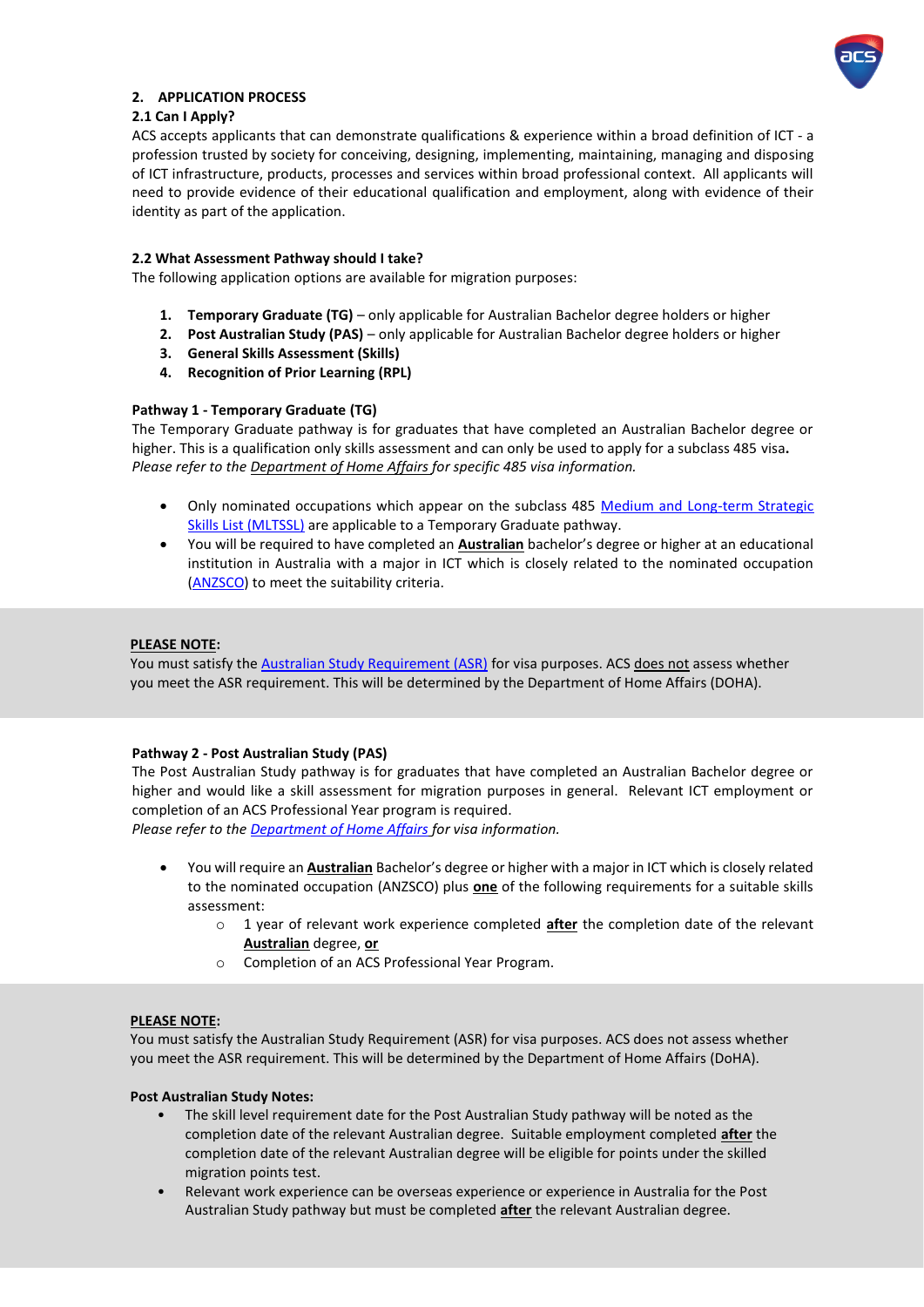

### <span id="page-3-0"></span>**2. APPLICATION PROCESS**

### <span id="page-3-1"></span>**2.1 Can I Apply?**

ACS accepts applicants that can demonstrate qualifications & experience within a broad definition of ICT - a profession trusted by society for conceiving, designing, implementing, maintaining, managing and disposing of ICT infrastructure, products, processes and services within broad professional context. All applicants will need to provide evidence of their educational qualification and employment, along with evidence of their identity as part of the application.

### <span id="page-3-2"></span>**2.2 What Assessment Pathway should I take?**

The following application options are available for migration purposes:

- **1. Temporary Graduate (TG)** only applicable for Australian Bachelor degree holders or higher
- **2. Post Australian Study (PAS)** only applicable for Australian Bachelor degree holders or higher
- **3. General Skills Assessment (Skills)**
- **4. Recognition of Prior Learning (RPL)**

### **Pathway 1 - Temporary Graduate (TG)**

The Temporary Graduate pathway is for graduates that have completed an Australian Bachelor degree or higher. This is a qualification only skills assessment and can only be used to apply for a subclass 485 visa**.**  *Please refer to th[e Department of Home](http://www.border.gov.au/) Affairs for specific 485 visa information.* 

- Only nominated occupations which appear on the subclass 485 Medium and Long-term Strategic [Skills List \(MLTSSL\)](https://www.border.gov.au/Trav/Work/Work/Skills-assessment-and-assessing-authorities/skilled-occupations-lists) are applicable to a Temporary Graduate pathway.
- You will be required to have completed an **Australian** bachelor's degree or higher at an educational institution in Australia with a major in ICT which is closely related to the nominated occupation [\(ANZSCO\)](http://www.acs.org.au/msa/anzsco-code-information.html) to meet the suitability criteria.

### **PLEASE NOTE:**

You must satisfy th[e Australian Study Requirement \(ASR\)](https://immi.homeaffairs.gov.au/visas/getting-a-visa/visa-listing/temporary-graduate-485/australian-study-requirement) for visa purposes. ACS does not assess whether you meet the ASR requirement. This will be determined by the Department of Home Affairs (DOHA).

### **Pathway 2 - Post Australian Study (PAS)**

The Post Australian Study pathway is for graduates that have completed an Australian Bachelor degree or higher and would like a skill assessment for migration purposes in general. Relevant ICT employment or completion of an ACS Professional Year program is required.

*Please refer to th[e Department of Home Affairs](http://www.border.gov.au/) for visa information.* 

- You will require an **Australian** Bachelor's degree or higher with a major in ICT which is closely related to the nominated occupation (ANZSCO) plus **one** of the following requirements for a suitable skills assessment:
	- o 1 year of relevant work experience completed **after** the completion date of the relevant **Australian** degree, **or**
	- o Completion of an ACS Professional Year Program.

### **PLEASE NOTE:**

You must satisfy the Australian Study Requirement (ASR) for visa purposes. ACS does not assess whether you meet the ASR requirement. This will be determined by the Department of Home Affairs (DoHA).

### **Post Australian Study Notes:**

- completion date of the relevant Australian degree will be eligible for points under the skilled General skills assessment is suitable for applications with tertiary ICT employment. The intertiary ICT employment is suitable for a part of the intertions and ICT employment. In the intertions and ICT employment is a part • The skill level requirement date for the Post Australian Study pathway will be noted as the completion date of the relevant Australian degree. Suitable employment completed **after** the
	- Relevant work experience can be overseas experience or experience in Australia for the Post Australian Study pathway but must be completed **after** the relevant Australian degree.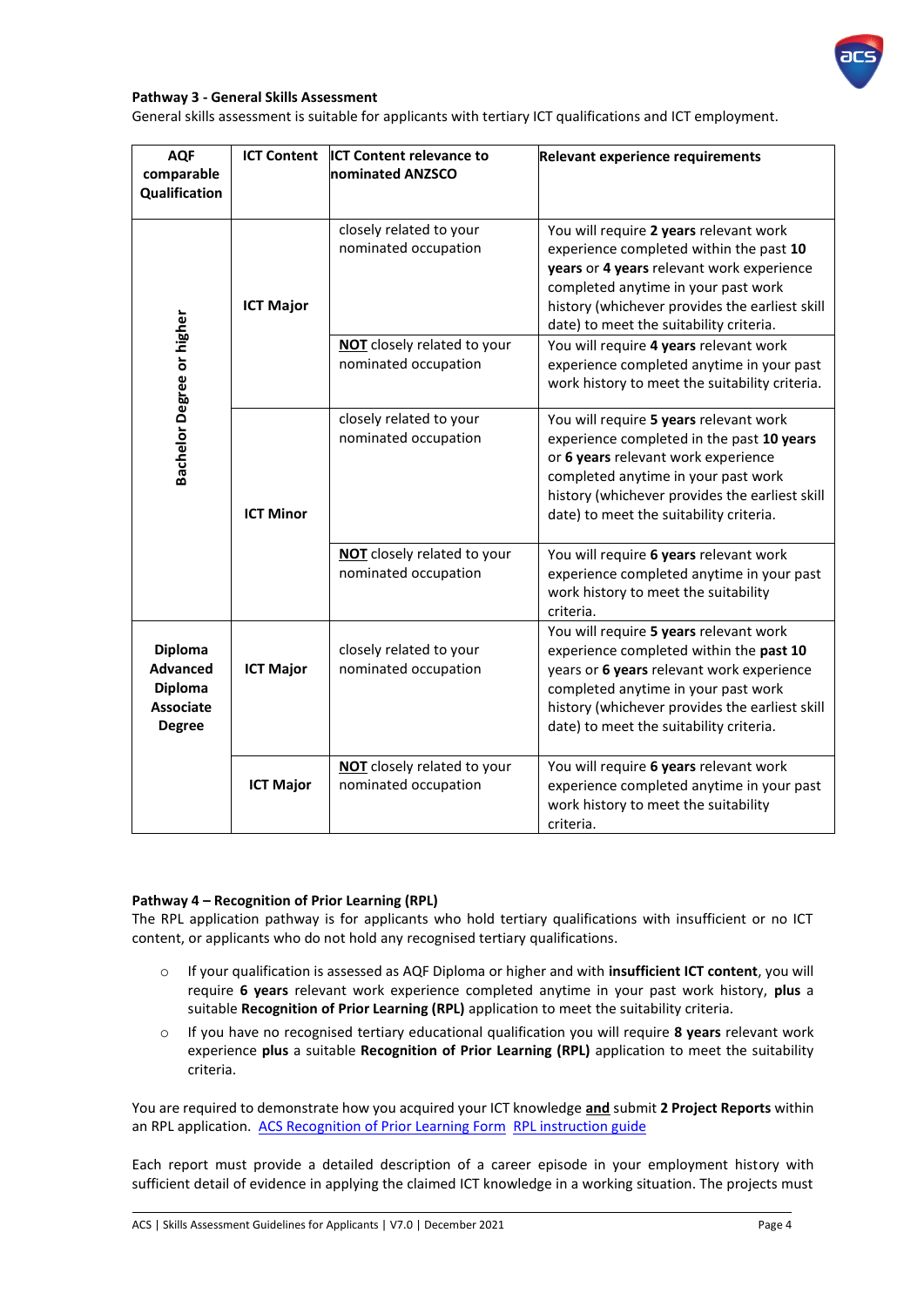

### **Pathway 3 - General Skills Assessment**

General skills assessment is suitable for applicants with tertiary ICT qualifications and ICT employment.

| <b>AQF</b><br>comparable<br>Qualification                                         | <b>ICT Content</b> | <b>ICT Content relevance to</b><br>nominated ANZSCO        | <b>Relevant experience requirements</b>                                                                                                                                                                                                                            |
|-----------------------------------------------------------------------------------|--------------------|------------------------------------------------------------|--------------------------------------------------------------------------------------------------------------------------------------------------------------------------------------------------------------------------------------------------------------------|
|                                                                                   | <b>ICT Major</b>   | closely related to your<br>nominated occupation            | You will require 2 years relevant work<br>experience completed within the past 10<br>years or 4 years relevant work experience<br>completed anytime in your past work<br>history (whichever provides the earliest skill<br>date) to meet the suitability criteria. |
|                                                                                   |                    | <b>NOT</b> closely related to your<br>nominated occupation | You will require 4 years relevant work<br>experience completed anytime in your past<br>work history to meet the suitability criteria.                                                                                                                              |
| Bachelor Degree or higher                                                         | <b>ICT Minor</b>   | closely related to your<br>nominated occupation            | You will require 5 years relevant work<br>experience completed in the past 10 years<br>or 6 years relevant work experience<br>completed anytime in your past work<br>history (whichever provides the earliest skill<br>date) to meet the suitability criteria.     |
|                                                                                   |                    | NOT closely related to your<br>nominated occupation        | You will require 6 years relevant work<br>experience completed anytime in your past<br>work history to meet the suitability<br>criteria.                                                                                                                           |
| Diploma<br><b>Advanced</b><br><b>Diploma</b><br><b>Associate</b><br><b>Degree</b> | <b>ICT Major</b>   | closely related to your<br>nominated occupation            | You will require 5 years relevant work<br>experience completed within the past 10<br>years or 6 years relevant work experience<br>completed anytime in your past work<br>history (whichever provides the earliest skill<br>date) to meet the suitability criteria. |
|                                                                                   | <b>ICT Major</b>   | NOT closely related to your<br>nominated occupation        | You will require 6 years relevant work<br>experience completed anytime in your past<br>work history to meet the suitability<br>criteria.                                                                                                                           |

#### **Pathway 4 – Recognition of Prior Learning (RPL)**

The RPL application pathway is for applicants who hold tertiary qualifications with insufficient or no ICT content, or applicants who do not hold any recognised tertiary qualifications.

- o If your qualification is assessed as AQF Diploma or higher and with **insufficient ICT content**, you will require **6 years** relevant work experience completed anytime in your past work history, **plus** a suitable **Recognition of Prior Learning (RPL)** application to meet the suitability criteria.
- o If you have no recognised tertiary educational qualification you will require **8 years** relevant work experience **plus** a suitable **Recognition of Prior Learning (RPL)** application to meet the suitability criteria.

You are required to demonstrate how you acquired your ICT knowledge **and** submit **2 Project Reports** within an RPL application. ACS [Recognition of Prior Learning Form](https://www.acs.org.au/content/dam/acs/acs-skills/ACS%20Recognition%20of%20Prior%20Learning%20(RPL)%20Form.docx) [RPL instruction guide](https://www.acs.org.au/content/dam/acs/acs-skills/ACS%20RPL%20Instruction%20document.pdf)

Each report must provide a detailed description of a career episode in your employment history with sufficient detail of evidence in applying the claimed ICT knowledge in a working situation. The projects must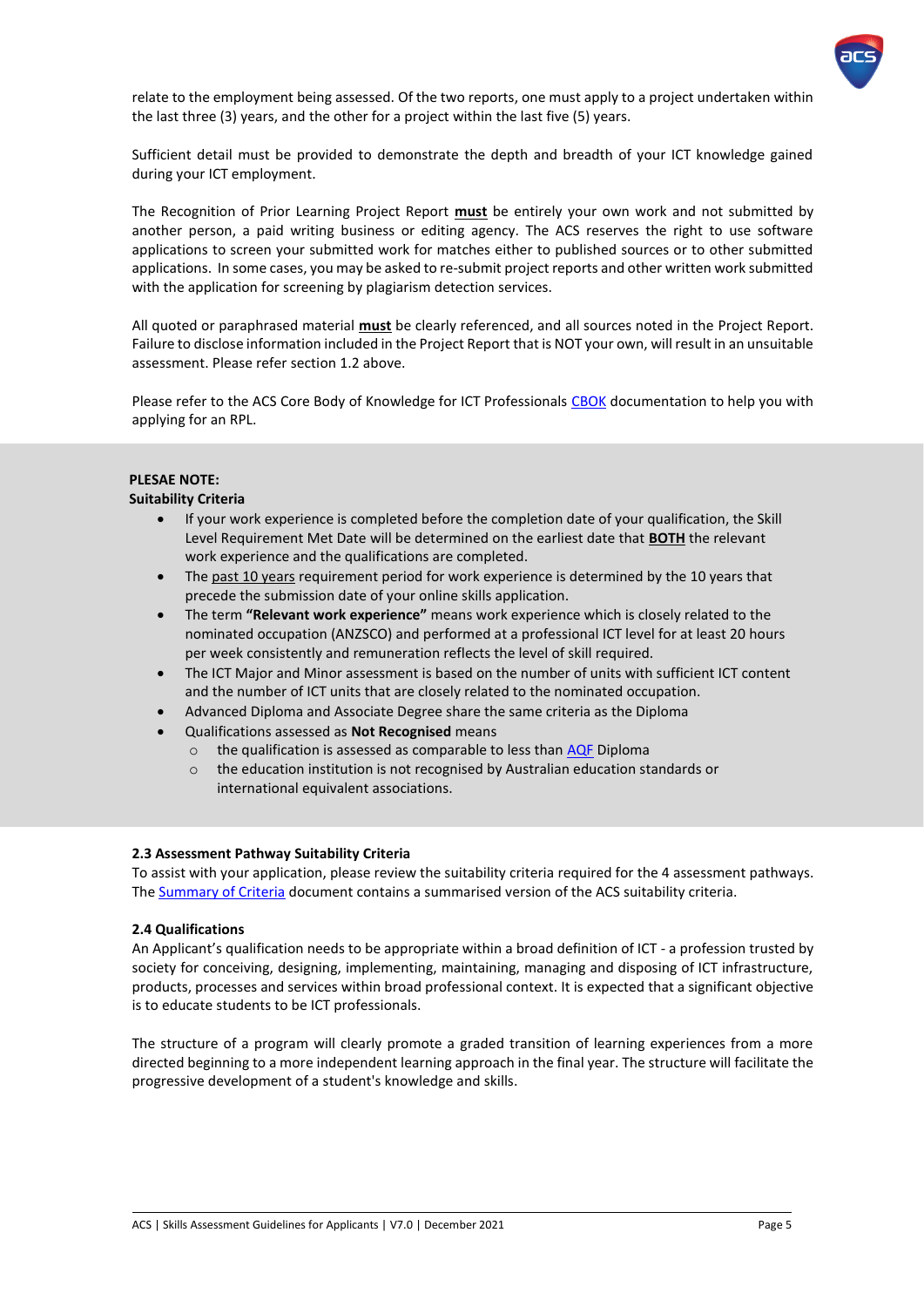

relate to the employment being assessed. Of the two reports, one must apply to a project undertaken within the last three (3) years, and the other for a project within the last five (5) years.

Sufficient detail must be provided to demonstrate the depth and breadth of your ICT knowledge gained during your ICT employment.

The Recognition of Prior Learning Project Report **must** be entirely your own work and not submitted by another person, a paid writing business or editing agency. The ACS reserves the right to use software applications to screen your submitted work for matches either to published sources or to other submitted applications. In some cases, you may be asked to re-submit project reports and other written work submitted with the application for screening by plagiarism detection services.

All quoted or paraphrased material **must** be clearly referenced, and all sources noted in the Project Report. Failure to disclose information included in the Project Report that is NOT your own, will result in an unsuitable assessment. Please refer section 1.2 above.

Please refer to the ACS Core Body of Knowledge for ICT Professionals [CBOK](http://www.acs.org.au/msa/acs-core-body-of-knowledge-for-ict-professionals-cbok.html) documentation to help you with applying for an RPL.

### **PLESAE NOTE:**

### **Suitability Criteria**

- If your work experience is completed before the completion date of your qualification, the Skill Level Requirement Met Date will be determined on the earliest date that **BOTH** the relevant work experience and the qualifications are completed.
- The past 10 years requirement period for work experience is determined by the 10 years that precede the submission date of your online skills application.
- The term **"Relevant work experience"** means work experience which is closely related to the nominated occupation (ANZSCO) and performed at a professional ICT level for at least 20 hours per week consistently and remuneration reflects the level of skill required.
- The ICT Major and Minor assessment is based on the number of units with sufficient ICT content and the number of ICT units that are closely related to the nominated occupation.
- Advanced Diploma and Associate Degree share the same criteria as the Diploma
- Qualifications assessed as **Not Recognised** means
	- $\circ$  the qualification is assessed as comparable to less tha[n AQF](https://www.aqf.edu.au/) Diploma
	- o the education institution is not recognised by Australian education standards or international equivalent associations.

### <span id="page-5-0"></span>**2.3 Assessment Pathway Suitability Criteria**

To assist with your application, please review the suitability criteria required for the 4 assessment pathways. Th[e Summary of Criteria](https://www.acs.org.au/content/dam/acs/acs-skills/Summary%20of%20Criteria%20-%202017.pdf) document contains a summarised version of the ACS suitability criteria.

#### <span id="page-5-1"></span>**2.4 Qualifications**

An Applicant's qualification needs to be appropriate within a broad definition of ICT - a profession trusted by society for conceiving, designing, implementing, maintaining, managing and disposing of ICT infrastructure, products, processes and services within broad professional context. It is expected that a significant objective is to educate students to be ICT professionals.

The structure of a program will clearly promote a graded transition of learning experiences from a more directed beginning to a more independent learning approach in the final year. The structure will facilitate the progressive development of a student's knowledge and skills.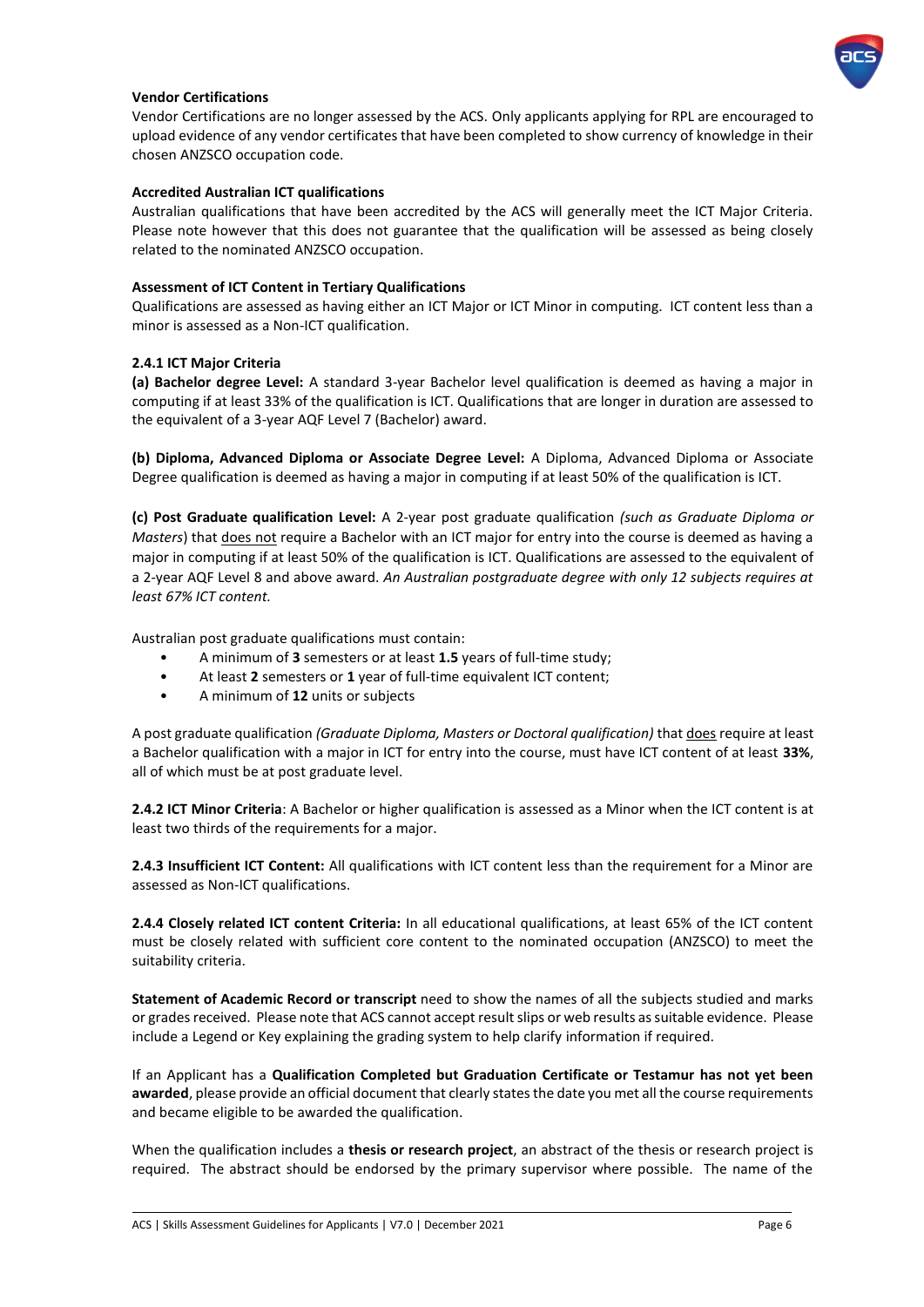

### **Vendor Certifications**

Vendor Certifications are no longer assessed by the ACS. Only applicants applying for RPL are encouraged to upload evidence of any vendor certificates that have been completed to show currency of knowledge in their chosen ANZSCO occupation code.

#### **Accredited Australian ICT qualifications**

Australian qualifications that have been accredited by the ACS will generally meet the ICT Major Criteria. Please note however that this does not guarantee that the qualification will be assessed as being closely related to the nominated ANZSCO occupation.

### **Assessment of ICT Content in Tertiary Qualifications**

Qualifications are assessed as having either an ICT Major or ICT Minor in computing. ICT content less than a minor is assessed as a Non-ICT qualification.

#### **2.4.1 ICT Major Criteria**

**(a) Bachelor degree Level:** A standard 3-year Bachelor level qualification is deemed as having a major in computing if at least 33% of the qualification is ICT. Qualifications that are longer in duration are assessed to the equivalent of a 3-year AQF Level 7 (Bachelor) award.

**(b) Diploma, Advanced Diploma or Associate Degree Level:** A Diploma, Advanced Diploma or Associate Degree qualification is deemed as having a major in computing if at least 50% of the qualification is ICT.

**(c) Post Graduate qualification Level:** A 2-year post graduate qualification *(such as Graduate Diploma or Masters*) that *does not require a Bachelor with an ICT major for entry into the course is deemed as having a* major in computing if at least 50% of the qualification is ICT. Qualifications are assessed to the equivalent of a 2-year AQF Level 8 and above award. *An Australian postgraduate degree with only 12 subjects requires at least 67% ICT content.*

Australian post graduate qualifications must contain:

- A minimum of **3** semesters or at least **1.5** years of full-time study;
- At least **2** semesters or **1** year of full-time equivalent ICT content;
- A minimum of **12** units or subjects

A post graduate qualification *(Graduate Diploma, Masters or Doctoral qualification)* that does require at least a Bachelor qualification with a major in ICT for entry into the course, must have ICT content of at least **33%**, all of which must be at post graduate level.

**2.4.2 ICT Minor Criteria**: A Bachelor or higher qualification is assessed as a Minor when the ICT content is at least two thirds of the requirements for a major.

**2.4.3 Insufficient ICT Content:** All qualifications with ICT content less than the requirement for a Minor are assessed as Non-ICT qualifications.

**2.4.4 Closely related ICT content Criteria:** In all educational qualifications, at least 65% of the ICT content must be closely related with sufficient core content to the nominated occupation (ANZSCO) to meet the suitability criteria.

**Statement of Academic Record or transcript** need to show the names of all the subjects studied and marks or grades received. Please note that ACS cannot accept result slips or web results as suitable evidence. Please include a Legend or Key explaining the grading system to help clarify information if required.

If an Applicant has a **Qualification Completed but Graduation Certificate or Testamur has not yet been awarded**, please provide an official document that clearly states the date you met all the course requirements and became eligible to be awarded the qualification.

When the qualification includes a **thesis or research project**, an abstract of the thesis or research project is required. The abstract should be endorsed by the primary supervisor where possible. The name of the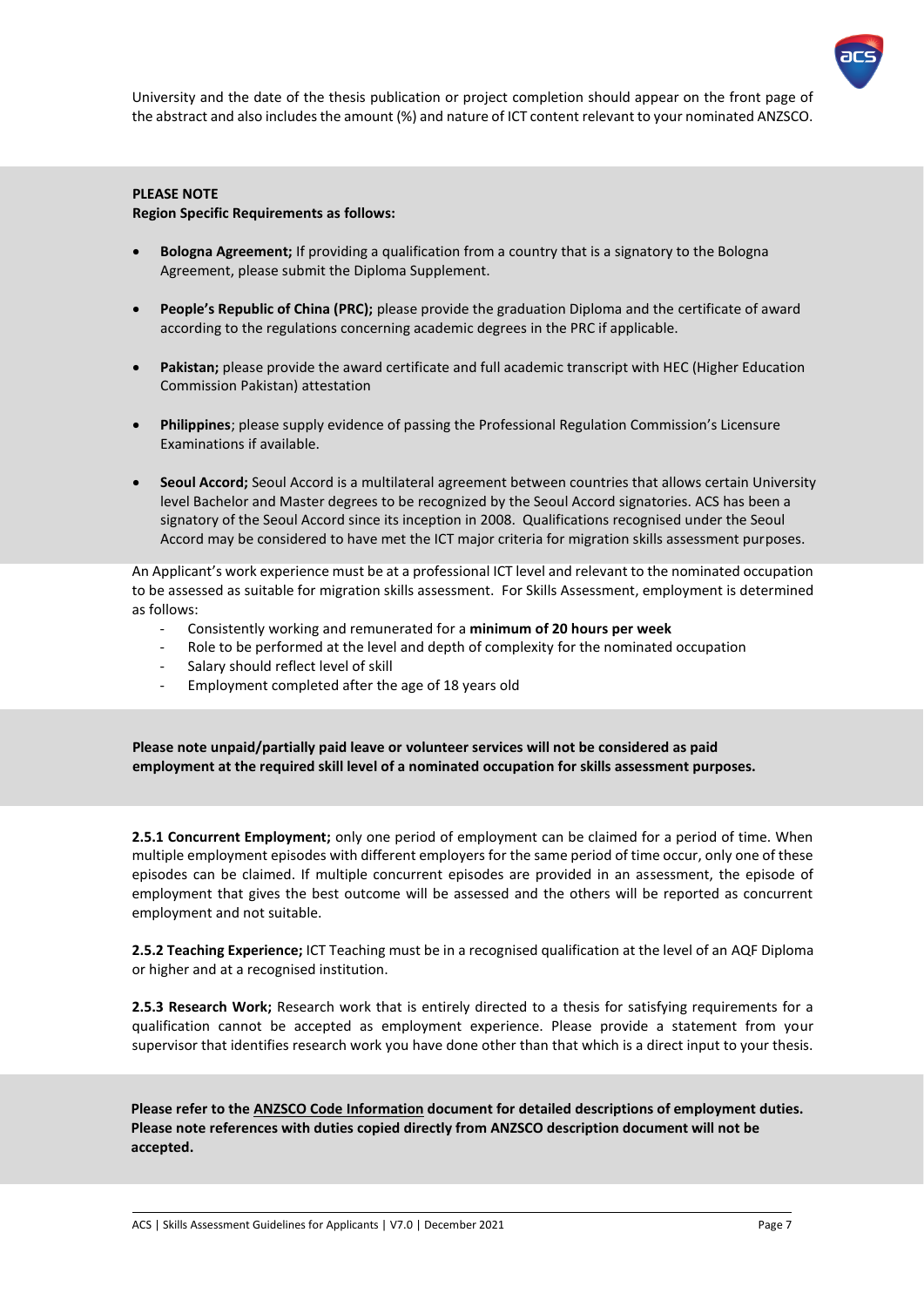

University and the date of the thesis publication or project completion should appear on the front page of the abstract and also includes the amount (%) and nature of ICT content relevant to your nominated ANZSCO.

# **PLEASE NOTE**

<span id="page-7-0"></span>**2.5 Employment**

### **Region Specific Requirements as follows:**

- **Bologna Agreement;** If providing a qualification from a country that is a signatory to the Bologna Agreement, please submit the Diploma Supplement.
- **People's Republic of China (PRC);** please provide the graduation Diploma and the certificate of award according to the regulations concerning academic degrees in the PRC if applicable.
- **Pakistan;** please provide the award certificate and full academic transcript with HEC (Higher Education Commission Pakistan) attestation
- **Philippines**; please supply evidence of passing the Professional Regulation Commission's Licensure Examinations if available.
- **Seoul Accord;** Seoul Accord is a multilateral agreement between countries that allows certain University level Bachelor and Master degrees to be recognized by the Seoul Accord signatories. ACS has been a signatory of the Seoul Accord since its inception in 2008. Qualifications recognised under the Seoul Accord may be considered to have met the ICT major criteria for migration skills assessment purposes.

An Applicant's work experience must be at a professional ICT level and relevant to the nominated occupation to be assessed as suitable for migration skills assessment. For Skills Assessment, employment is determined as follows:

- Consistently working and remunerated for a **minimum of 20 hours per week**
- Role to be performed at the level and depth of complexity for the nominated occupation
- Salary should reflect level of skill
- Employment completed after the age of 18 years old

**Please note unpaid/partially paid leave or volunteer services will not be considered as paid employment at the required skill level of a nominated occupation for skills assessment purposes.** 

**2.5.1 Concurrent Employment;** only one period of employment can be claimed for a period of time. When multiple employment episodes with different employers for the same period of time occur, only one of these episodes can be claimed. If multiple concurrent episodes are provided in an assessment, the episode of employment that gives the best outcome will be assessed and the others will be reported as concurrent employment and not suitable.

**2.5.2 Teaching Experience;** ICT Teaching must be in a recognised qualification at the level of an AQF Diploma or higher and at a recognised institution.

**2.5.3 Research Work;** Research work that is entirely directed to a thesis for satisfying requirements for a qualification cannot be accepted as employment experience. Please provide a statement from your supervisor that identifies research work you have done other than that which is a direct input to your thesis.

**Please refer to th[e ANZSCO Code](http://www.acs.org.au/msa/anzsco-code-information.html) Information document for detailed descriptions of employment duties. Please note references with duties copied directly from ANZSCO description document will not be accepted.**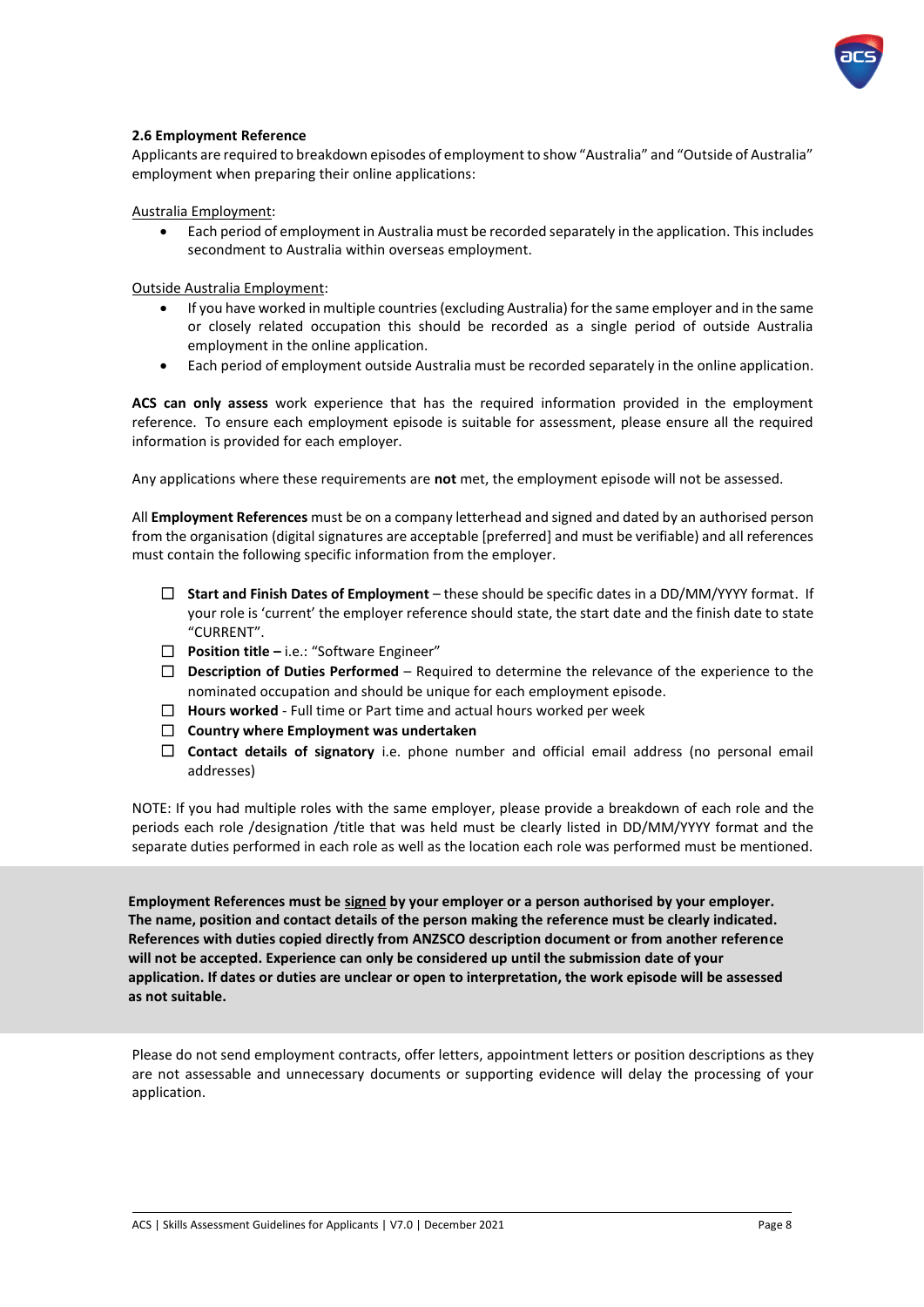

### <span id="page-8-0"></span>**2.6 Employment Reference**

Applicants are required to breakdown episodes of employment to show "Australia" and "Outside of Australia" employment when preparing their online applications:

Australia Employment:

• Each period of employment in Australia must be recorded separately in the application. This includes secondment to Australia within overseas employment.

Outside Australia Employment:

- If you have worked in multiple countries (excluding Australia) for the same employer and in the same or closely related occupation this should be recorded as a single period of outside Australia employment in the online application.
- Each period of employment outside Australia must be recorded separately in the online application.

**ACS can only assess** work experience that has the required information provided in the employment reference. To ensure each employment episode is suitable for assessment, please ensure all the required information is provided for each employer.

Any applications where these requirements are **not** met, the employment episode will not be assessed.

All **Employment References** must be on a company letterhead and signed and dated by an authorised person from the organisation (digital signatures are acceptable [preferred] and must be verifiable) and all references must contain the following specific information from the employer.

- ☐ **Start and Finish Dates of Employment** these should be specific dates in a DD/MM/YYYY format. If your role is 'current' the employer reference should state, the start date and the finish date to state "CURRENT".
- ☐ **Position title –** i.e.: "Software Engineer"
- □ **Description of Duties Performed** Required to determine the relevance of the experience to the nominated occupation and should be unique for each employment episode.
- ☐ **Hours worked** Full time or Part time and actual hours worked per week
- ☐ **Country where Employment was undertaken**
- ☐ **Contact details of signatory** i.e. phone number and official email address (no personal email addresses)

NOTE: If you had multiple roles with the same employer, please provide a breakdown of each role and the periods each role /designation /title that was held must be clearly listed in DD/MM/YYYY format and the separate duties performed in each role as well as the location each role was performed must be mentioned.

**Employment References must be signed by your employer or a person authorised by your employer. The name, position and contact details of the person making the reference must be clearly indicated. References with duties copied directly from ANZSCO description document or from another reference will not be accepted. Experience can only be considered up until the submission date of your application. If dates or duties are unclear or open to interpretation, the work episode will be assessed as not suitable.** 

Please do not send employment contracts, offer letters, appointment letters or position descriptions as they are not assessable and unnecessary documents or supporting evidence will delay the processing of your application.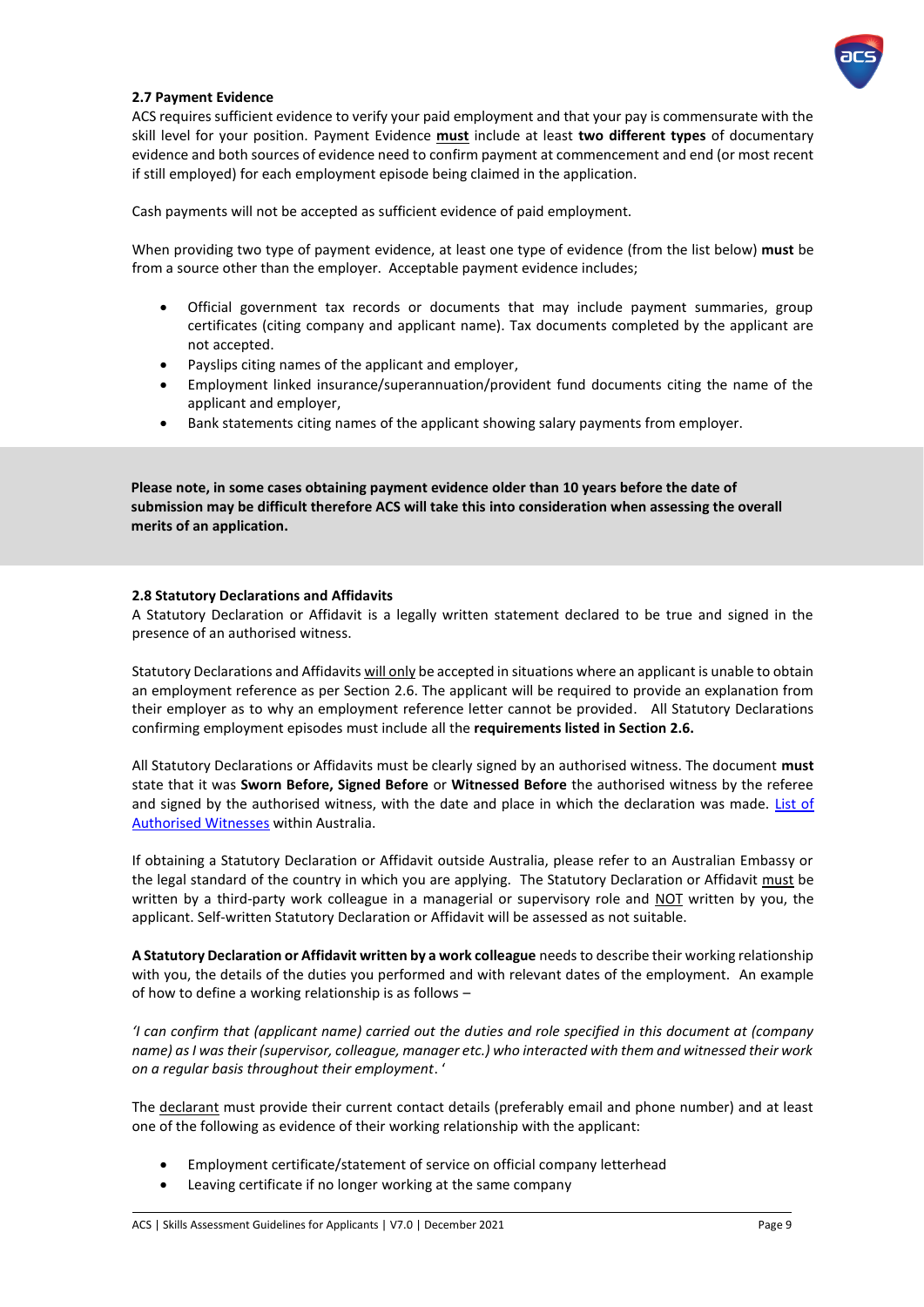

### <span id="page-9-0"></span>**2.7 Payment Evidence**

ACS requires sufficient evidence to verify your paid employment and that your pay is commensurate with the skill level for your position. Payment Evidence **must** include at least **two different types** of documentary evidence and both sources of evidence need to confirm payment at commencement and end (or most recent if still employed) for each employment episode being claimed in the application.

Cash payments will not be accepted as sufficient evidence of paid employment.

When providing two type of payment evidence, at least one type of evidence (from the list below) **must** be from a source other than the employer. Acceptable payment evidence includes;

- Official government tax records or documents that may include payment summaries, group certificates (citing company and applicant name). Tax documents completed by the applicant are not accepted.
- Payslips citing names of the applicant and employer,
- Employment linked insurance/superannuation/provident fund documents citing the name of the applicant and employer,
- Bank statements citing names of the applicant showing salary payments from employer.

**Please note, in some cases obtaining payment evidence older than 10 years before the date of submission may be difficult therefore ACS will take this into consideration when assessing the overall merits of an application.**

#### <span id="page-9-1"></span>**2.8 Statutory Declarations and Affidavits**

A Statutory Declaration or Affidavit is a legally written statement declared to be true and signed in the presence of an authorised witness.

Statutory Declarations and Affidavits will only be accepted in situations where an applicant is unable to obtain an employment reference as per Section 2.6. The applicant will be required to provide an explanation from their employer as to why an employment reference letter cannot be provided. All Statutory Declarations confirming employment episodes must include all the **requirements listed in Section 2.6.**

All Statutory Declarations or Affidavits must be clearly signed by an authorised witness. The document **must**  state that it was **Sworn Before, Signed Before** or **Witnessed Before** the authorised witness by the referee and signed by the authorised witness, with the date and place in which the declaration was made. List of [Authorised Witnesses](http://www.ag.gov.au/Publications/Pages/Statutorydeclarationsignatorylist.aspx) within Australia.

If obtaining a Statutory Declaration or Affidavit outside Australia, please refer to an Australian Embassy or the legal standard of the country in which you are applying. The Statutory Declaration or Affidavit must be written by a third-party work colleague in a managerial or supervisory role and NOT written by you, the applicant. Self-written Statutory Declaration or Affidavit will be assessed as not suitable.

**A Statutory Declaration or Affidavit written by a work colleague** needs to describe their working relationship with you, the details of the duties you performed and with relevant dates of the employment. An example of how to define a working relationship is as follows –

*'I can confirm that (applicant name) carried out the duties and role specified in this document at (company name) as I was their (supervisor, colleague, manager etc.) who interacted with them and witnessed their work on a regular basis throughout their employment*. '

The declarant must provide their current contact details (preferably email and phone number) and at least one of the following as evidence of their working relationship with the applicant:

- Employment certificate/statement of service on official company letterhead
- Leaving certificate if no longer working at the same company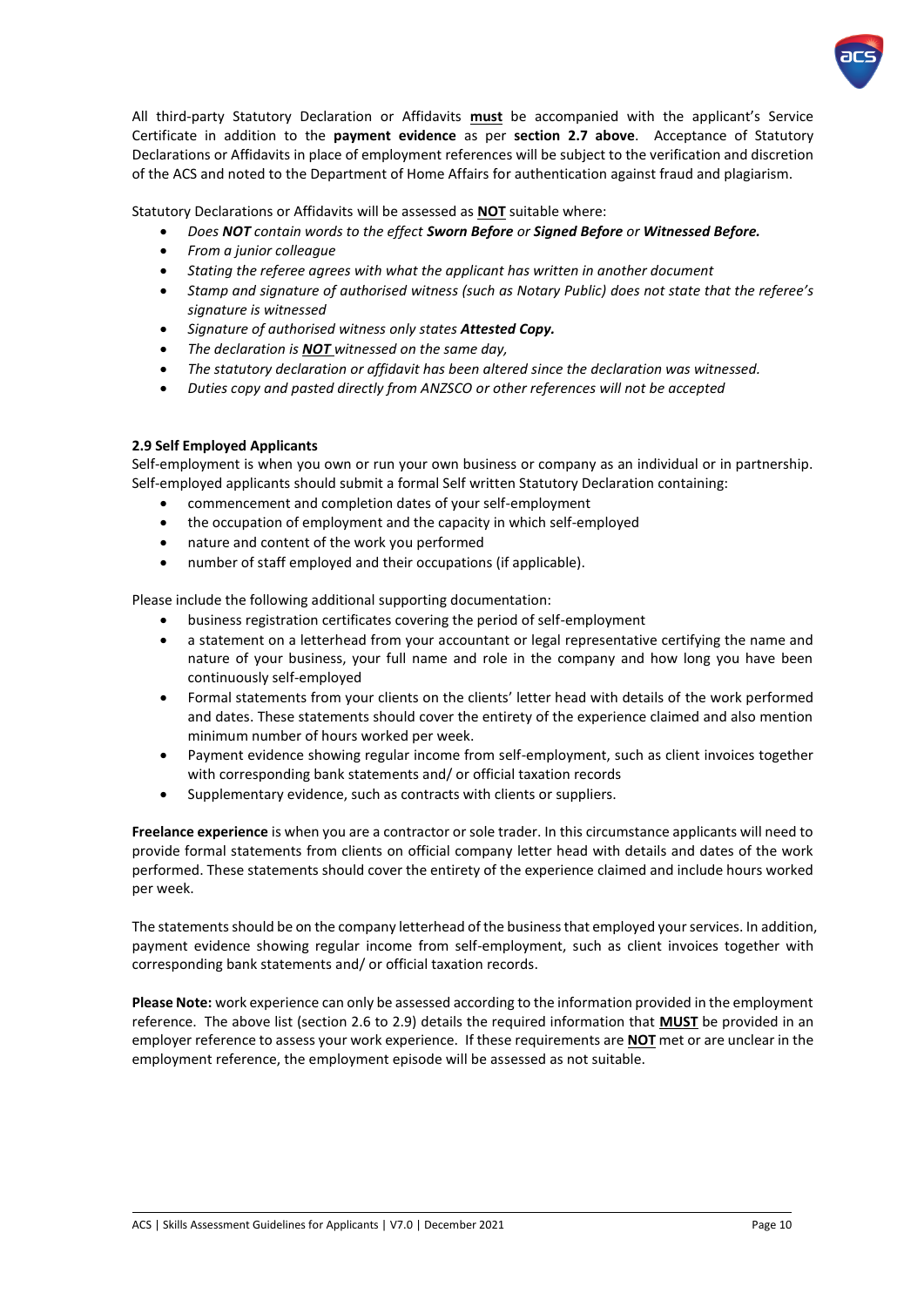

All third-party Statutory Declaration or Affidavits **must** be accompanied with the applicant's Service Certificate in addition to the **payment evidence** as per **section 2.7 above**. Acceptance of Statutory Declarations or Affidavits in place of employment references will be subject to the verification and discretion of the ACS and noted to the Department of Home Affairs for authentication against fraud and plagiarism.

Statutory Declarations or Affidavits will be assessed as **NOT** suitable where:

- *Does NOT contain words to the effect Sworn Before or Signed Before or Witnessed Before.*
- *From a junior colleague*
- *Stating the referee agrees with what the applicant has written in another document*
- *Stamp and signature of authorised witness (such as Notary Public) does not state that the referee's signature is witnessed*
- *Signature of authorised witness only states Attested Copy.*
- *The declaration is NOT witnessed on the same day,*
- *The statutory declaration or affidavit has been altered since the declaration was witnessed.*
- *Duties copy and pasted directly from ANZSCO or other references will not be accepted*

### <span id="page-10-0"></span>**2.9 Self Employed Applicants**

Self-employment is when you own or run your own business or company as an individual or in partnership. Self-employed applicants should submit a formal Self written Statutory Declaration containing:

- commencement and completion dates of your self-employment
- the occupation of employment and the capacity in which self-employed
- nature and content of the work you performed
- number of staff employed and their occupations (if applicable).

Please include the following additional supporting documentation:

- business registration certificates covering the period of self-employment
- a statement on a letterhead from your accountant or legal representative certifying the name and nature of your business, your full name and role in the company and how long you have been continuously self-employed
- Formal statements from your clients on the clients' letter head with details of the work performed and dates. These statements should cover the entirety of the experience claimed and also mention minimum number of hours worked per week.
- Payment evidence showing regular income from self-employment, such as client invoices together with corresponding bank statements and/ or official taxation records
- Supplementary evidence, such as contracts with clients or suppliers.

**Freelance experience** is when you are a contractor or sole trader. In this circumstance applicants will need to provide formal statements from clients on official company letter head with details and dates of the work performed. These statements should cover the entirety of the experience claimed and include hours worked per week.

The statements should be on the company letterhead of the business that employed your services. In addition, payment evidence showing regular income from self-employment, such as client invoices together with corresponding bank statements and/ or official taxation records.

**Please Note:** work experience can only be assessed according to the information provided in the employment reference. The above list (section 2.6 to 2.9) details the required information that **MUST** be provided in an employer reference to assess your work experience. If these requirements are **NOT** met or are unclear in the employment reference, the employment episode will be assessed as not suitable.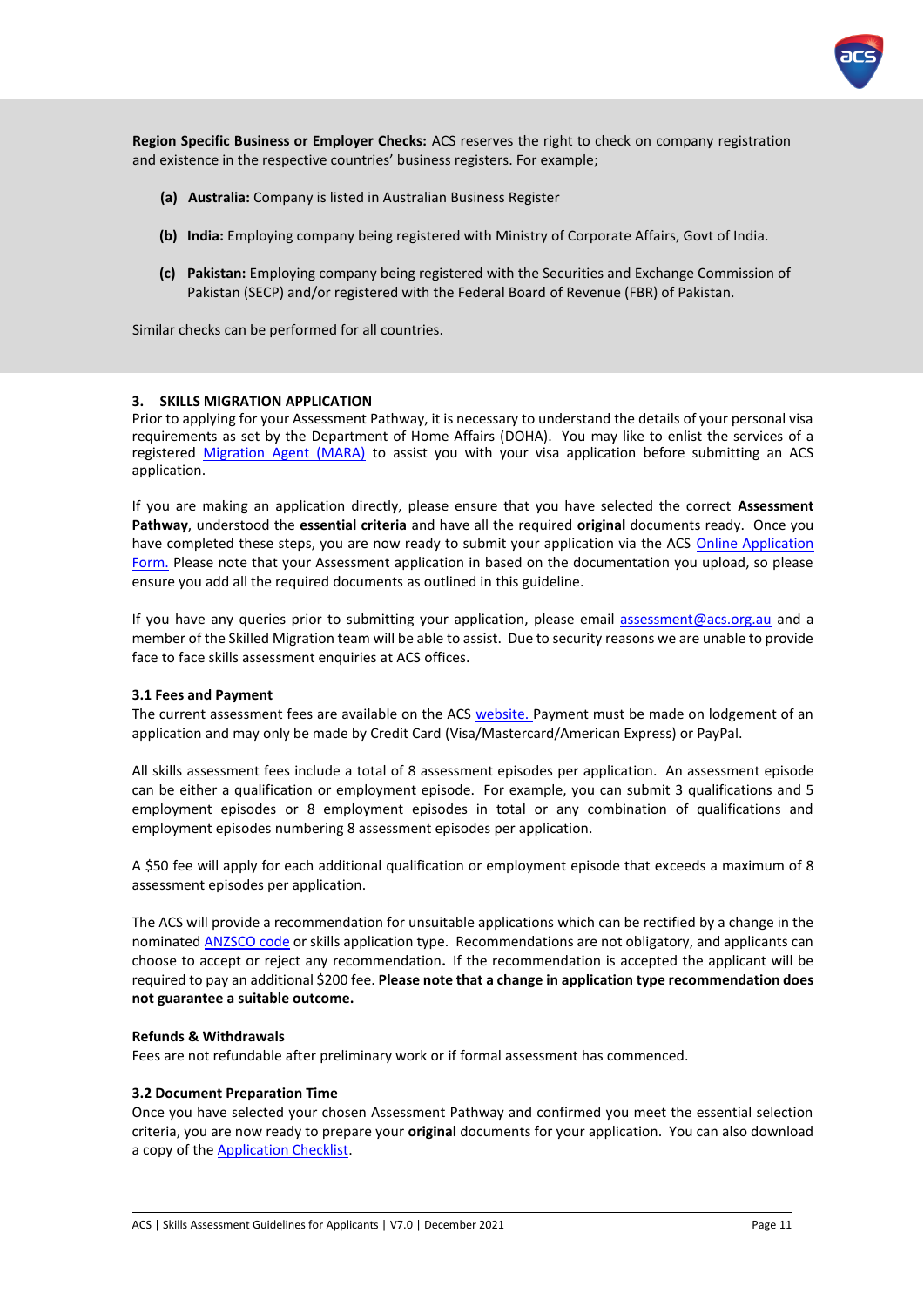

**Region Specific Business or Employer Checks:** ACS reserves the right to check on company registration and existence in the respective countries' business registers. For example;

- **(a) Australia:** Company is listed in Australian Business Register
- **(b) India:** Employing company being registered with Ministry of Corporate Affairs, Govt of India.
- **(c) Pakistan:** Employing company being registered with the Securities and Exchange Commission of Pakistan (SECP) and/or registered with the Federal Board of Revenue (FBR) of Pakistan.

Similar checks can be performed for all countries.

#### <span id="page-11-0"></span>**3. SKILLS MIGRATION APPLICATION**

Prior to applying for your Assessment Pathway, it is necessary to understand the details of your personal visa requirements as set by the [Department of Home](http://www.border.gov.au/) Affairs (DOHA). You may like to enlist the services of a registered [Migration Agent \(MARA\)](https://www.mara.gov.au/) to assist you with your visa application before submitting an ACS application.

If you are making an application directly, please ensure that you have selected the correct **Assessment Pathway**, understood the **essential criteria** and have all the required **original** documents ready. Once you have completed these steps, you are now ready to submit your application via the ACS [Online Application](https://www.acs.org.au/msa/secure/what-you-need.html)  [Form.](https://www.acs.org.au/msa/secure/what-you-need.html) Please note that your Assessment application in based on the documentation you upload, so please ensure you add all the required documents as outlined in this guideline.

If you have any queries prior to submitting your application, please email [assessment@acs.org.au](mailto:assessment@acs.org.au) and a member of the Skilled Migration team will be able to assist. Due to security reasons we are unable to provide face to face skills assessment enquiries at ACS offices.

#### <span id="page-11-1"></span>**3.1 Fees and Payment**

The current assessment fees are available on the ACS [website.](https://www.acs.org.au/msa/information-for-applicants.html) Payment must be made on lodgement of an application and may only be made by Credit Card (Visa/Mastercard/American Express) or PayPal.

All skills assessment fees include a total of 8 assessment episodes per application. An assessment episode can be either a qualification or employment episode. For example, you can submit 3 qualifications and 5 employment episodes or 8 employment episodes in total or any combination of qualifications and employment episodes numbering 8 assessment episodes per application.

A \$50 fee will apply for each additional qualification or employment episode that exceeds a maximum of 8 assessment episodes per application.

The ACS will provide a recommendation for unsuitable applications which can be rectified by a change in the nominate[d ANZSCO code](http://www.acs.org.au/msa/anzsco-code-information.html) or skills application type. Recommendations are not obligatory, and applicants can choose to accept or reject any recommendation**.** If the recommendation is accepted the applicant will be required to pay an additional \$200 fee. **Please note that a change in application type recommendation does not guarantee a suitable outcome.**

#### **Refunds & Withdrawals**

Fees are not refundable after preliminary work or if formal assessment has commenced.

#### <span id="page-11-2"></span>**3.2 Document Preparation Time**

Once you have selected your chosen Assessment Pathway and confirmed you meet the essential selection criteria, you are now ready to prepare your **original** documents for your application. You can also download a copy of the [Application Checklist.](https://www.acs.org.au/content/dam/acs/acs-skills/Application-Checklist.pdf)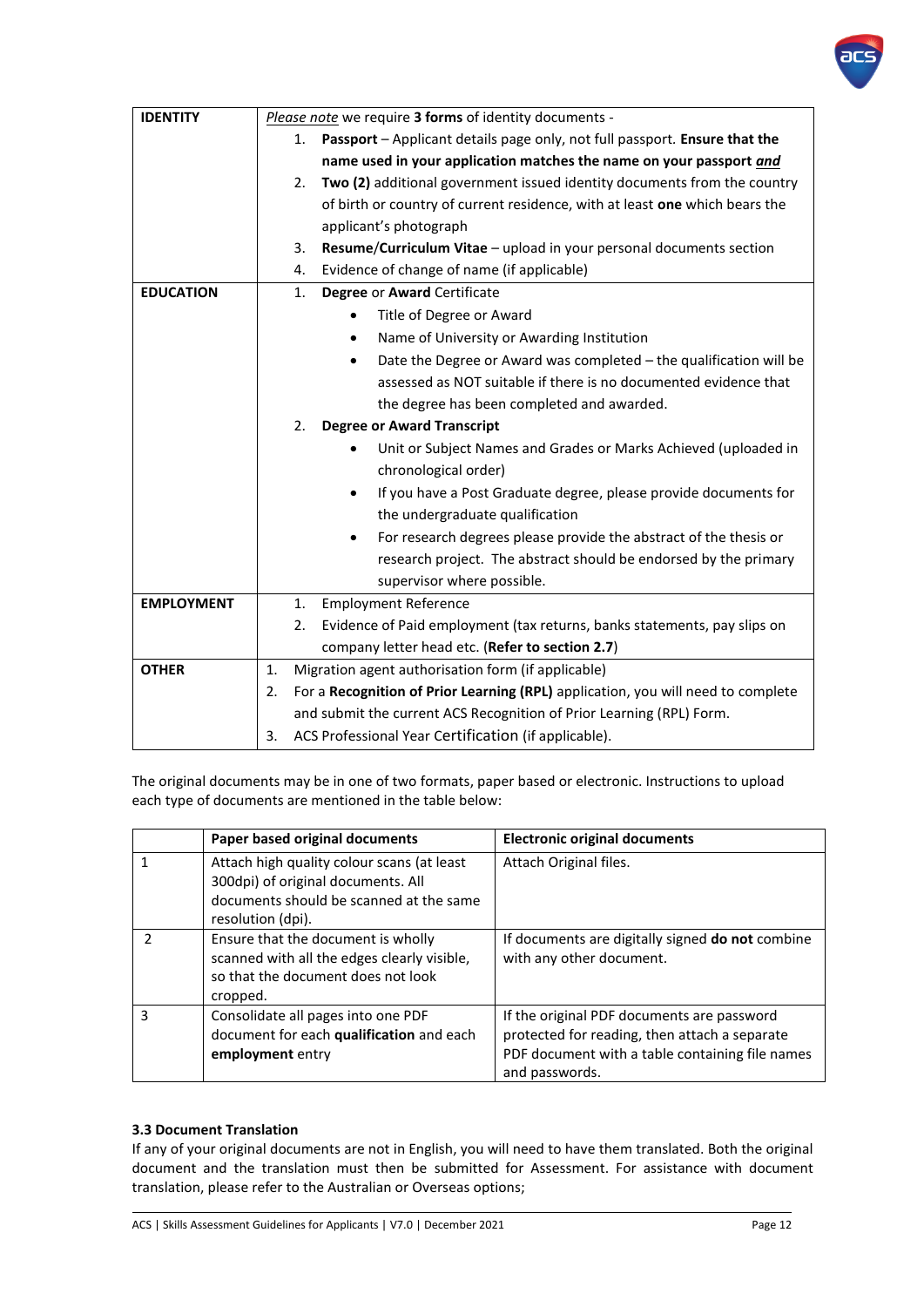

| <b>IDENTITY</b>   | Please note we require 3 forms of identity documents -                                 |  |  |
|-------------------|----------------------------------------------------------------------------------------|--|--|
|                   | Passport - Applicant details page only, not full passport. Ensure that the<br>1.       |  |  |
|                   | name used in your application matches the name on your passport and                    |  |  |
|                   | Two (2) additional government issued identity documents from the country<br>2.         |  |  |
|                   | of birth or country of current residence, with at least one which bears the            |  |  |
|                   | applicant's photograph                                                                 |  |  |
|                   | Resume/Curriculum Vitae - upload in your personal documents section<br>3.              |  |  |
|                   | Evidence of change of name (if applicable)<br>4.                                       |  |  |
| <b>EDUCATION</b>  | Degree or Award Certificate<br>1.                                                      |  |  |
|                   | Title of Degree or Award                                                               |  |  |
|                   | Name of University or Awarding Institution                                             |  |  |
|                   | Date the Degree or Award was completed - the qualification will be<br>$\bullet$        |  |  |
|                   | assessed as NOT suitable if there is no documented evidence that                       |  |  |
|                   | the degree has been completed and awarded.                                             |  |  |
|                   | 2.<br><b>Degree or Award Transcript</b>                                                |  |  |
|                   | Unit or Subject Names and Grades or Marks Achieved (uploaded in                        |  |  |
|                   | chronological order)                                                                   |  |  |
|                   | If you have a Post Graduate degree, please provide documents for<br>$\bullet$          |  |  |
|                   | the undergraduate qualification                                                        |  |  |
|                   | For research degrees please provide the abstract of the thesis or<br>$\bullet$         |  |  |
|                   | research project. The abstract should be endorsed by the primary                       |  |  |
|                   | supervisor where possible.                                                             |  |  |
| <b>EMPLOYMENT</b> | <b>Employment Reference</b><br>1.                                                      |  |  |
|                   | Evidence of Paid employment (tax returns, banks statements, pay slips on<br>2.         |  |  |
|                   | company letter head etc. (Refer to section 2.7)                                        |  |  |
| <b>OTHER</b>      | Migration agent authorisation form (if applicable)<br>1.                               |  |  |
|                   | For a Recognition of Prior Learning (RPL) application, you will need to complete<br>2. |  |  |
|                   | and submit the current ACS Recognition of Prior Learning (RPL) Form.<br>3.             |  |  |
|                   | ACS Professional Year Certification (if applicable).                                   |  |  |

The original documents may be in one of two formats, paper based or electronic. Instructions to upload each type of documents are mentioned in the table below:

|   | Paper based original documents                                                                                                                   | <b>Electronic original documents</b>                                                                                                                             |
|---|--------------------------------------------------------------------------------------------------------------------------------------------------|------------------------------------------------------------------------------------------------------------------------------------------------------------------|
|   | Attach high quality colour scans (at least<br>300dpi) of original documents. All<br>documents should be scanned at the same<br>resolution (dpi). | Attach Original files.                                                                                                                                           |
|   | Ensure that the document is wholly<br>scanned with all the edges clearly visible,<br>so that the document does not look<br>cropped.              | If documents are digitally signed <b>do not</b> combine<br>with any other document.                                                                              |
| ς | Consolidate all pages into one PDF<br>document for each qualification and each<br>employment entry                                               | If the original PDF documents are password<br>protected for reading, then attach a separate<br>PDF document with a table containing file names<br>and passwords. |

# <span id="page-12-0"></span>**3.3 Document Translation**

If any of your original documents are not in English, you will need to have them translated. Both the original document and the translation must then be submitted for Assessment. For assistance with document translation, please refer to the Australian or Overseas options;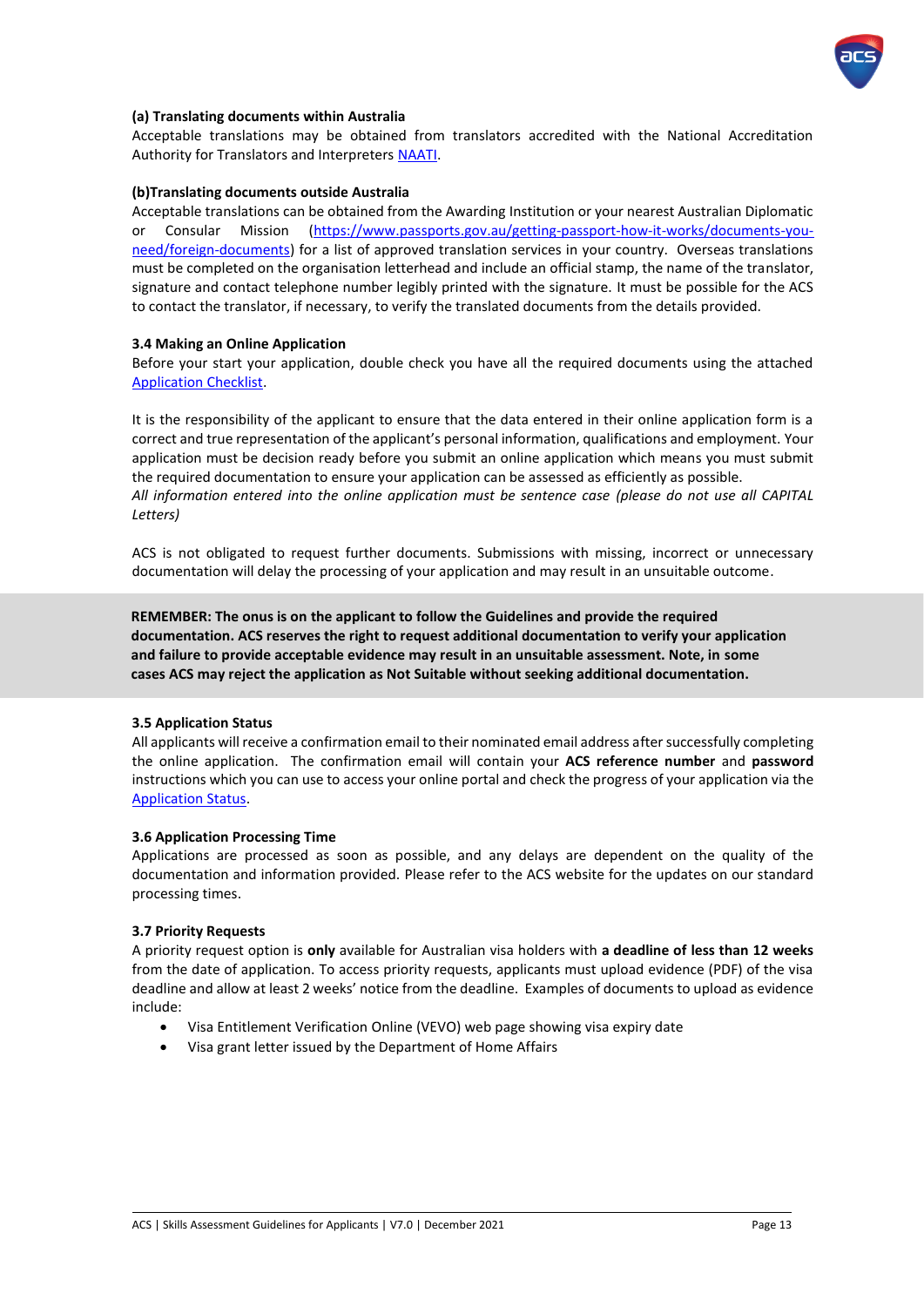

### **(a) Translating documents within Australia**

Acceptable translations may be obtained from translators accredited with the National Accreditation Authority for Translators and Interpreters [NAATI.](http://www.naati.com.au/)

#### **(b)Translating documents outside Australia**

Acceptable translations can be obtained from the Awarding Institution or your nearest Australian Diplomatic or Consular Mission [\(https://www.passports.gov.au/getting-passport-how-it-works/documents-you](https://www.passports.gov.au/getting-passport-how-it-works/documents-you-need/foreign-documents)[need/foreign-documents\)](https://www.passports.gov.au/getting-passport-how-it-works/documents-you-need/foreign-documents) for a list of approved translation services in your country. Overseas translations must be completed on the organisation letterhead and include an official stamp, the name of the translator, signature and contact telephone number legibly printed with the signature. It must be possible for the ACS to contact the translator, if necessary, to verify the translated documents from the details provided.

#### <span id="page-13-0"></span>**3.4 Making an Online Application**

Before your start your application, double check you have all the required documents using the attached [Application Checklist.](https://www.acs.org.au/content/dam/acs/acs-skills/Application-Checklist.pdf)

It is the responsibility of the applicant to ensure that the data entered in their online application form is a correct and true representation of the applicant's personal information, qualifications and employment. Your application must be decision ready before you submit an online application which means you must submit the required documentation to ensure your application can be assessed as efficiently as possible. *All information entered into the online application must be sentence case (please do not use all CAPITAL Letters)*

ACS is not obligated to request further documents. Submissions with missing, incorrect or unnecessary documentation will delay the processing of your application and may result in an unsuitable outcome.

**REMEMBER: The onus is on the applicant to follow the Guidelines and provide the required documentation. ACS reserves the right to request additional documentation to verify your application and failure to provide acceptable evidence may result in an unsuitable assessment. Note, in some cases ACS may reject the application as Not Suitable without seeking additional documentation.**

#### **3.5 Application Status**

All applicants will receive a confirmation email to their nominated email address after successfully completing the online application. The confirmation email will contain your **ACS reference number** and **password** instructions which you can use to access your online portal and check the progress of your application via the [Application Status.](https://id.acs.org.au/memberlogin?startURL=%2Fidp%2Flogin%3Fapp%3D0sp90000000CbLf)

#### **3.6 Application Processing Time**

Applications are processed as soon as possible, and any delays are dependent on the quality of the documentation and information provided. Please refer to the ACS website for the updates on our standard processing times.

#### **3.7 Priority Requests**

A priority request option is **only** available for Australian visa holders with **a deadline of less than 12 weeks** from the date of application. To access priority requests, applicants must upload evidence (PDF) of the visa deadline and allow at least 2 weeks' notice from the deadline. Examples of documents to upload as evidence include:

- Visa Entitlement Verification Online (VEVO) web page showing visa expiry date
- Visa grant letter issued by the Department of Home Affairs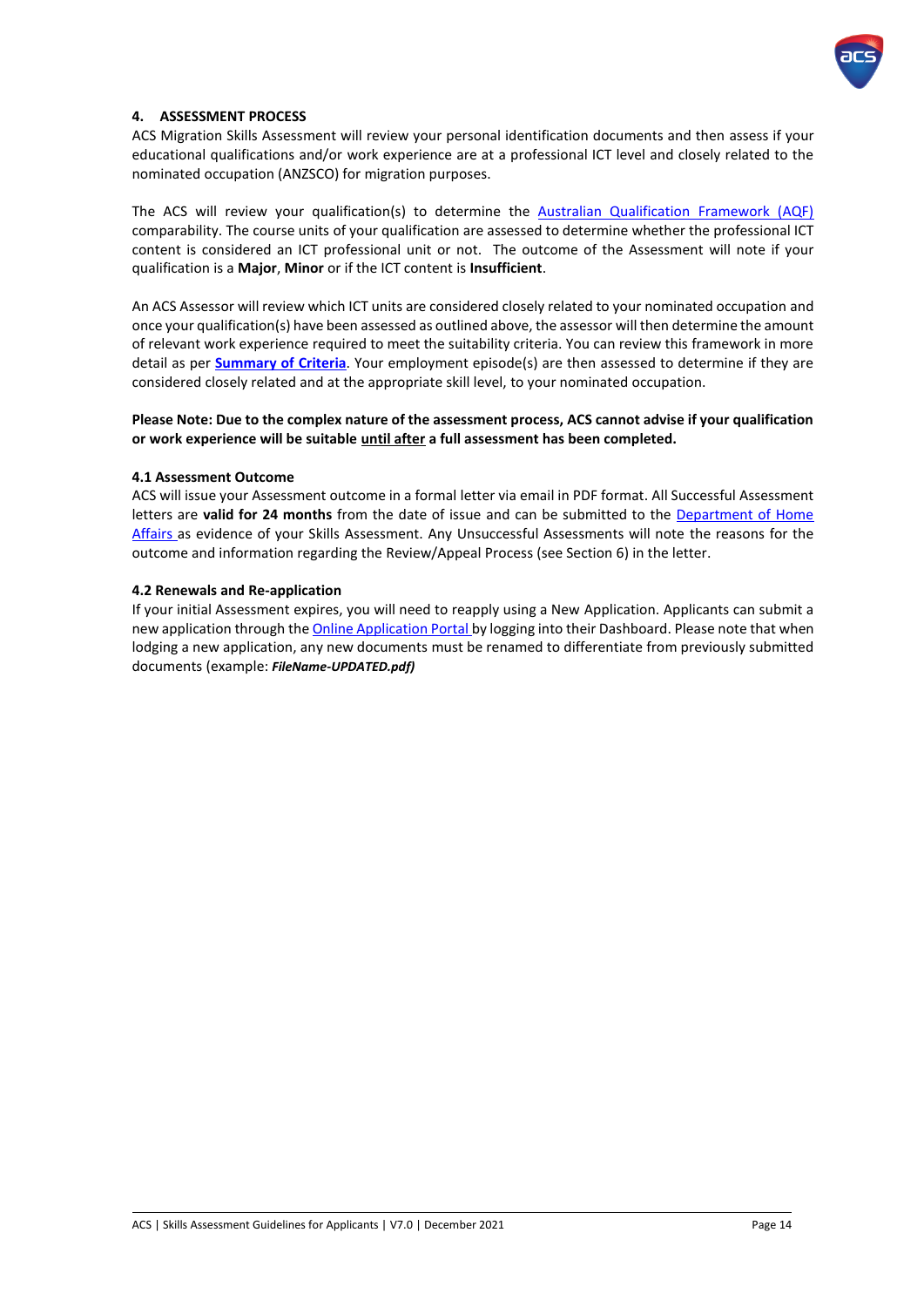

### <span id="page-14-0"></span>**4. ASSESSMENT PROCESS**

ACS Migration Skills Assessment will review your personal identification documents and then assess if your educational qualifications and/or work experience are at a professional ICT level and closely related to the nominated occupation (ANZSCO) for migration purposes.

The ACS will review your qualification(s) to determine the [Australian Qualification Framework \(AQF\)](https://www.aqf.edu.au/) comparability. The course units of your qualification are assessed to determine whether the professional ICT content is considered an ICT professional unit or not. The outcome of the Assessment will note if your qualification is a **Major**, **Minor** or if the ICT content is **Insufficient**.

An ACS Assessor will review which ICT units are considered closely related to your nominated occupation and once your qualification(s) have been assessed as outlined above, the assessor will then determine the amount of relevant work experience required to meet the suitability criteria. You can review this framework in more detail as per **[Summary of](https://www.acs.org.au/content/dam/acs/acs-skills/Summary%20of%20Criteria%20-%202017.pdf) Criteria**. Your employment episode(s) are then assessed to determine if they are considered closely related and at the appropriate skill level, to your nominated occupation.

### **Please Note: Due to the complex nature of the assessment process, ACS cannot advise if your qualification or work experience will be suitable until after a full assessment has been completed.**

#### <span id="page-14-1"></span>**4.1 Assessment Outcome**

ACS will issue your Assessment outcome in a formal letter via email in PDF format. All Successful Assessment letters are **valid for 24 months** from the date of issue and can be submitted to the [Department of Home](http://www.border.gov.au/) [Affairs](http://www.border.gov.au/) as evidence of your Skills Assessment. Any Unsuccessful Assessments will note the reasons for the outcome and information regarding the Review/Appeal Process (see Section 6) in the letter.

#### <span id="page-14-2"></span>**4.2 Renewals and Re-application**

If your initial Assessment expires, you will need to reapply using a New Application. Applicants can submit a new application through th[e Online Application Portal](https://www.acs.org.au/msa/secure/what-you-need.html) by logging into their Dashboard. Please note that when lodging a new application, any new documents must be renamed to differentiate from previously submitted documents (example: *FileName-UPDATED.pdf)*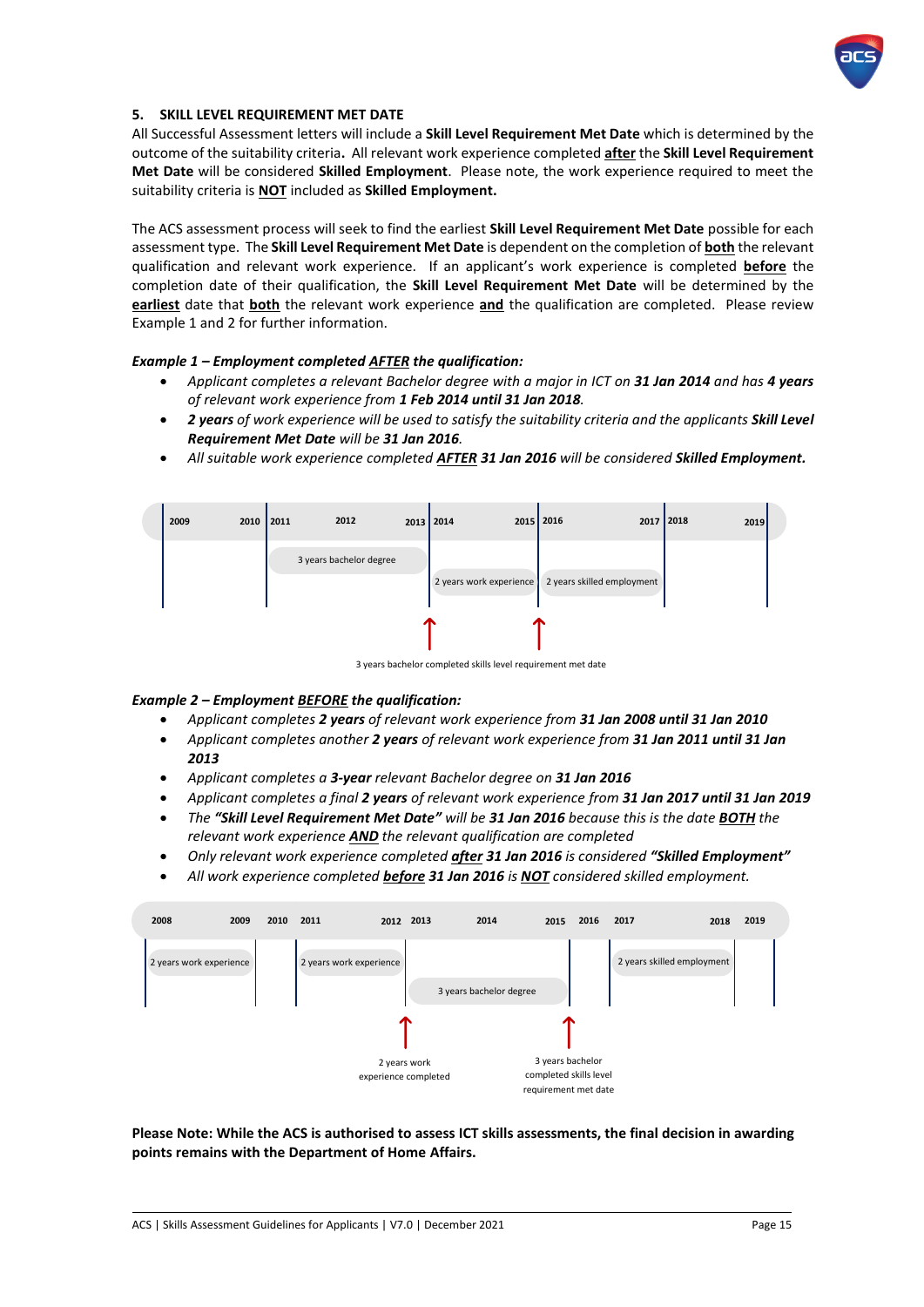

### <span id="page-15-0"></span>**5. SKILL LEVEL REQUIREMENT MET DATE**

All Successful Assessment letters will include a **Skill Level Requirement Met Date** which is determined by the outcome of the suitability criteria**.** All relevant work experience completed **after** the **Skill Level Requirement Met Date** will be considered **Skilled Employment**. Please note, the work experience required to meet the suitability criteria is **NOT** included as **Skilled Employment.**

The ACS assessment process will seek to find the earliest **Skill Level Requirement Met Date** possible for each assessment type. The **Skill Level Requirement Met Date** is dependent on the completion of **both** the relevant qualification and relevant work experience. If an applicant's work experience is completed **before** the completion date of their qualification, the **Skill Level Requirement Met Date** will be determined by the **earliest** date that **both** the relevant work experience **and** the qualification are completed. Please review Example 1 and 2 for further information.

### *Example 1 – Employment completed AFTER the qualification:*

- *Applicant completes a relevant Bachelor degree with a major in ICT on 31 Jan 2014 and has 4 years of relevant work experience from 1 Feb 2014 until 31 Jan 2018.*
- *2 years of work experience will be used to satisfy the suitability criteria and the applicants Skill Level Requirement Met Date will be 31 Jan 2016.*
- **2009 2010 2011 2012 2013 2014 2015 2016 2017 2018 2019** 3 years bachelor degree 2 years work experience 2 years skilled employment
- *All suitable work experience completed AFTER 31 Jan 2016 will be considered Skilled Employment.*

3 years bachelor completed skills level requirement met date

#### *Example 2 – Employment BEFORE the qualification:*

- *Applicant completes 2 years of relevant work experience from 31 Jan 2008 until 31 Jan 2010*
- *Applicant completes another 2 years of relevant work experience from 31 Jan 2011 until 31 Jan 2013*
- *Applicant completes a 3-year relevant Bachelor degree on 31 Jan 2016*
- *Applicant completes a final 2 years of relevant work experience from 31 Jan 2017 until 31 Jan 2019*
- *The "Skill Level Requirement Met Date" will be 31 Jan 2016 because this is the date BOTH the relevant work experience AND the relevant qualification are completed*
- *Only relevant work experience completed after 31 Jan 2016 is considered "Skilled Employment"*
- *All work experience completed before 31 Jan 2016 is NOT considered skilled employment.*



**Please Note: While the ACS is authorised to assess ICT skills assessments, the final decision in awarding points remains with the Department of Home Affairs.**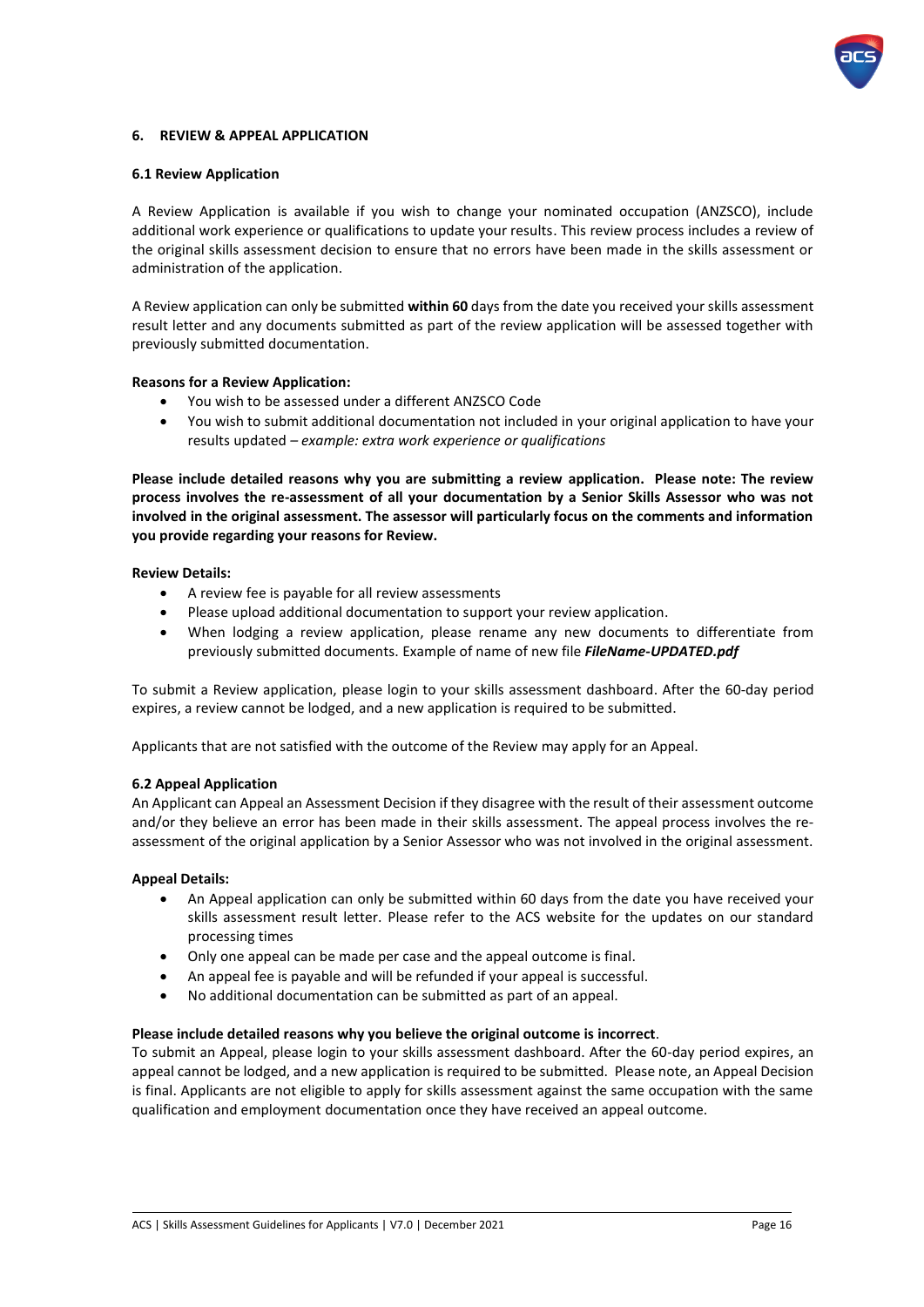

### <span id="page-16-0"></span>**6. REVIEW & APPEAL APPLICATION**

#### <span id="page-16-1"></span>**6.1 Review Application**

A Review Application is available if you wish to change your nominated occupation (ANZSCO), include additional work experience or qualifications to update your results. This review process includes a review of the original skills assessment decision to ensure that no errors have been made in the skills assessment or administration of the application.

A Review application can only be submitted **within 60** days from the date you received your skills assessment result letter and any documents submitted as part of the review application will be assessed together with previously submitted documentation.

#### **Reasons for a Review Application:**

- You wish to be assessed under a different ANZSCO Code
- You wish to submit additional documentation not included in your original application to have your results updated *– example: extra work experience or qualifications*

**Please include detailed reasons why you are submitting a review application. Please note: The review process involves the re-assessment of all your documentation by a Senior Skills Assessor who was not involved in the original assessment. The assessor will particularly focus on the comments and information you provide regarding your reasons for Review.** 

#### **Review Details:**

- A review fee is payable for all review assessments
- Please upload additional documentation to support your review application.
- When lodging a review application, please rename any new documents to differentiate from previously submitted documents. Example of name of new file *FileName-UPDATED.pdf*

To submit a Review application, please login to your skills assessment dashboard. After the 60-day period expires, a review cannot be lodged, and a new application is required to be submitted.

Applicants that are not satisfied with the outcome of the Review may apply for an Appeal.

### <span id="page-16-2"></span>**6.2 Appeal Application**

An Applicant can Appeal an Assessment Decision if they disagree with the result of their assessment outcome and/or they believe an error has been made in their skills assessment. The appeal process involves the reassessment of the original application by a Senior Assessor who was not involved in the original assessment.

### **Appeal Details:**

- An Appeal application can only be submitted within 60 days from the date you have received your skills assessment result letter. Please refer to the ACS website for the updates on our standard processing times
- Only one appeal can be made per case and the appeal outcome is final.
- An appeal fee is payable and will be refunded if your appeal is successful.
- No additional documentation can be submitted as part of an appeal.

### **Please include detailed reasons why you believe the original outcome is incorrect**.

To submit an Appeal, please login to your skills assessment dashboard. After the 60-day period expires, an appeal cannot be lodged, and a new application is required to be submitted. Please note, an Appeal Decision is final. Applicants are not eligible to apply for skills assessment against the same occupation with the same qualification and employment documentation once they have received an appeal outcome.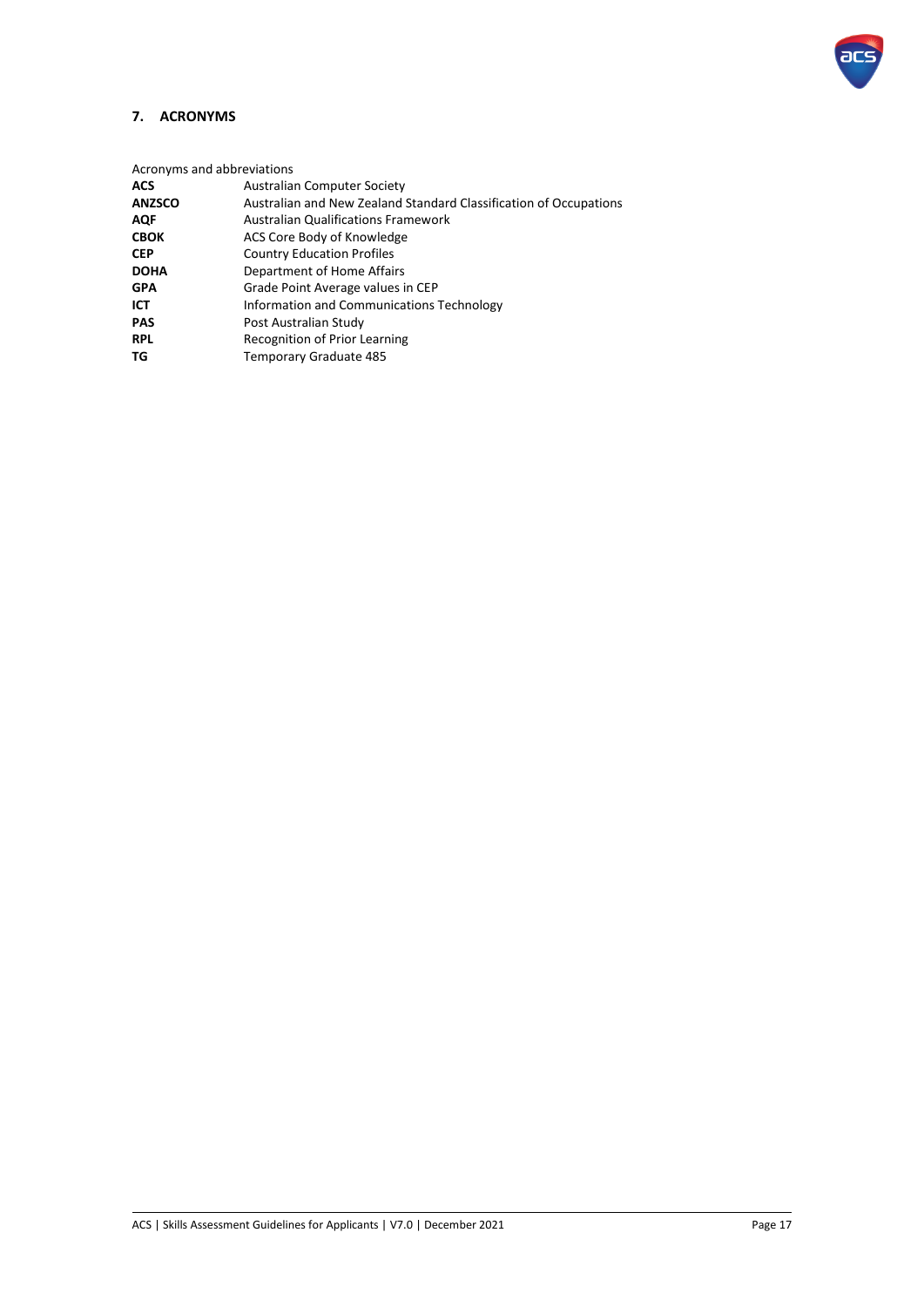

# <span id="page-17-0"></span>**7. ACRONYMS**

Acronyms and abbreviations

| <b>ACS</b>    | <b>Australian Computer Society</b>                                |
|---------------|-------------------------------------------------------------------|
| <b>ANZSCO</b> | Australian and New Zealand Standard Classification of Occupations |
| <b>AQF</b>    | <b>Australian Qualifications Framework</b>                        |
| <b>CBOK</b>   | ACS Core Body of Knowledge                                        |
| <b>CEP</b>    | <b>Country Education Profiles</b>                                 |
| <b>DOHA</b>   | Department of Home Affairs                                        |
| <b>GPA</b>    | Grade Point Average values in CEP                                 |
| ICT           | Information and Communications Technology                         |
| <b>PAS</b>    | Post Australian Study                                             |
| <b>RPL</b>    | <b>Recognition of Prior Learning</b>                              |
| TG            | Temporary Graduate 485                                            |
|               |                                                                   |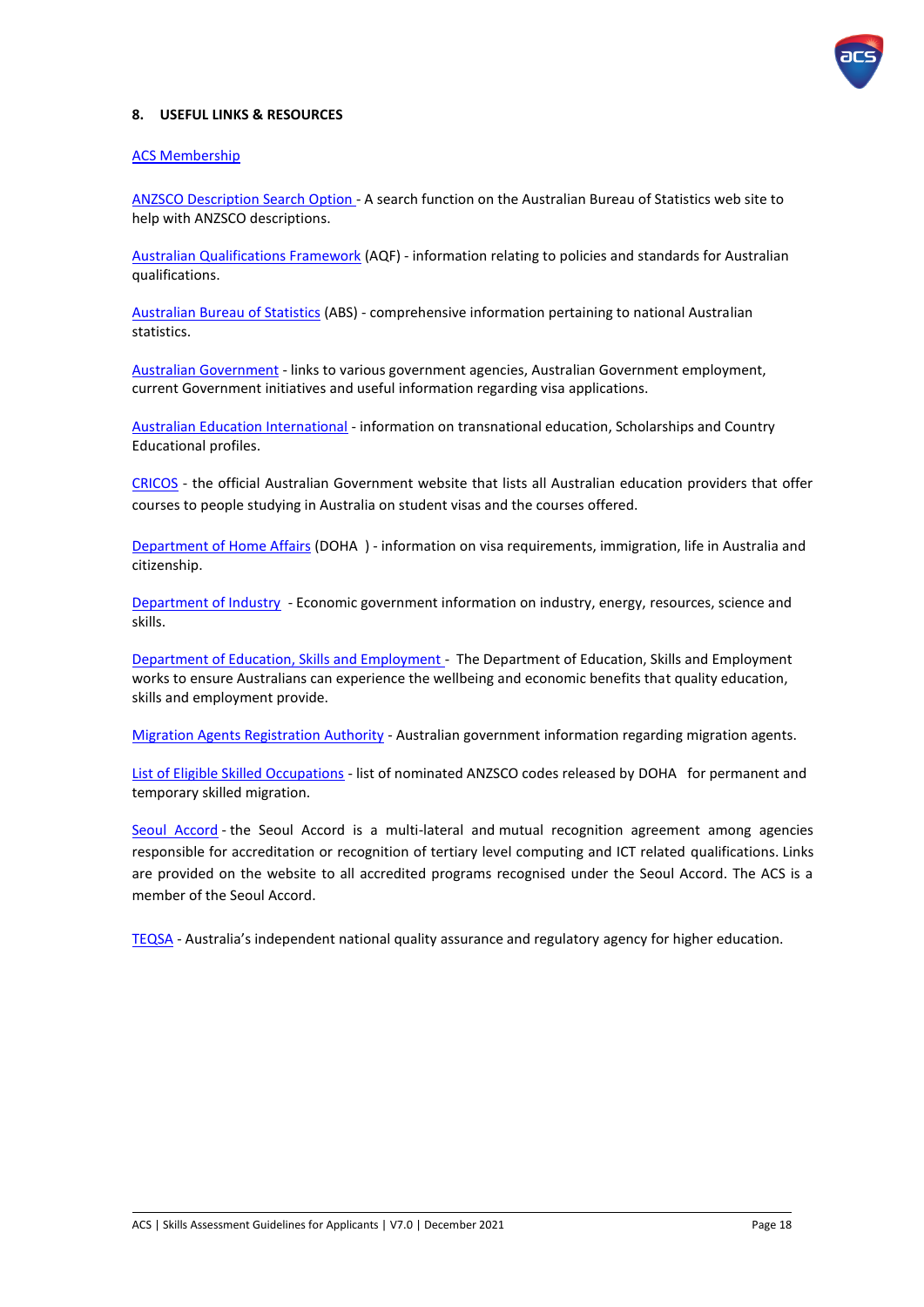

### <span id="page-18-0"></span>**8. USEFUL LINKS & RESOURCES**

#### [ACS Membership](https://www.acs.org.au/home.html)

[ANZSCO Description](http://www.abs.gov.au/ausstats/abs@.nsf/Previousproducts/1220.0Search02006?opendocument) Search Option [-](http://www.abs.gov.au/ausstats/abs@.nsf/Latestproducts/1220.0Search0First%20Edition,%20Revision%201?opendocument&tabname=Summary&prodno=1220.0&issue=First%20Edition,%20Revision%201&num=&view=) A search function on the Australian Bureau of Statistics web site to help with ANZSCO descriptions.

[Australian Qualifications Framework](http://www.aqf.edu.au/) (AQF) - information relating to policies and standards for Australian qualifications.

[Australian Bureau of Statistics](http://www.abs.gov.au/) (ABS) - comprehensive information pertaining to national Australian statistics.

[Australian Government](http://australia.gov.au/) - links to various government agencies, Australian Government employment, current Government initiatives and useful information regarding visa applications.

[Australian Education International](http://internationaleducation.gov.au/Pages/default.aspx) - information on transnational education, Scholarships and Country Educational profiles.

[CRICOS](https://cricos.education.gov.au/) - the official Australian Government website that lists all Australian education providers that offer courses to people studying in Australia on student visas and the courses offered.

[Department of Home](http://www.border.gov.au/) Affairs (DOHA ) - information on visa requirements, immigration, life in Australia and citizenship.

[Department of Industry](http://www.innovation.gov.au/pages/default.aspx) - Economic government information on industry, energy, resources, science and skills.

[Department of Education, Skills and Employment](https://www.dese.gov.au/) - The Department of Education, Skills and Employment works to ensure Australians can experience the wellbeing and economic benefits that quality education, skills and employment provide.

[Migration Agents Registration Authority](https://www.mara.gov.au/) - Australian government information regarding migration agents.

[List of Eligible Skilled Occupations](https://www.border.gov.au/Trav/Work/Work/Skills-assessment-and-assessing-authorities/skilled-occupations-lists) - list of nominated ANZSCO codes released by DOHA for permanent and temporary skilled migration.

[Seoul Accord](https://www.seoulaccord.org/) - the Seoul Accord is a multi-lateral and mutual recognition agreement among agencies responsible for accreditation or recognition of tertiary level computing and ICT related qualifications. Links are provided on the website to all accredited programs recognised under the Seoul Accord. The ACS is a member of the Seoul Accord.

[TEQSA](https://www.teqsa.gov.au/) - Australia's independent national quality assurance and regulatory agency for higher education.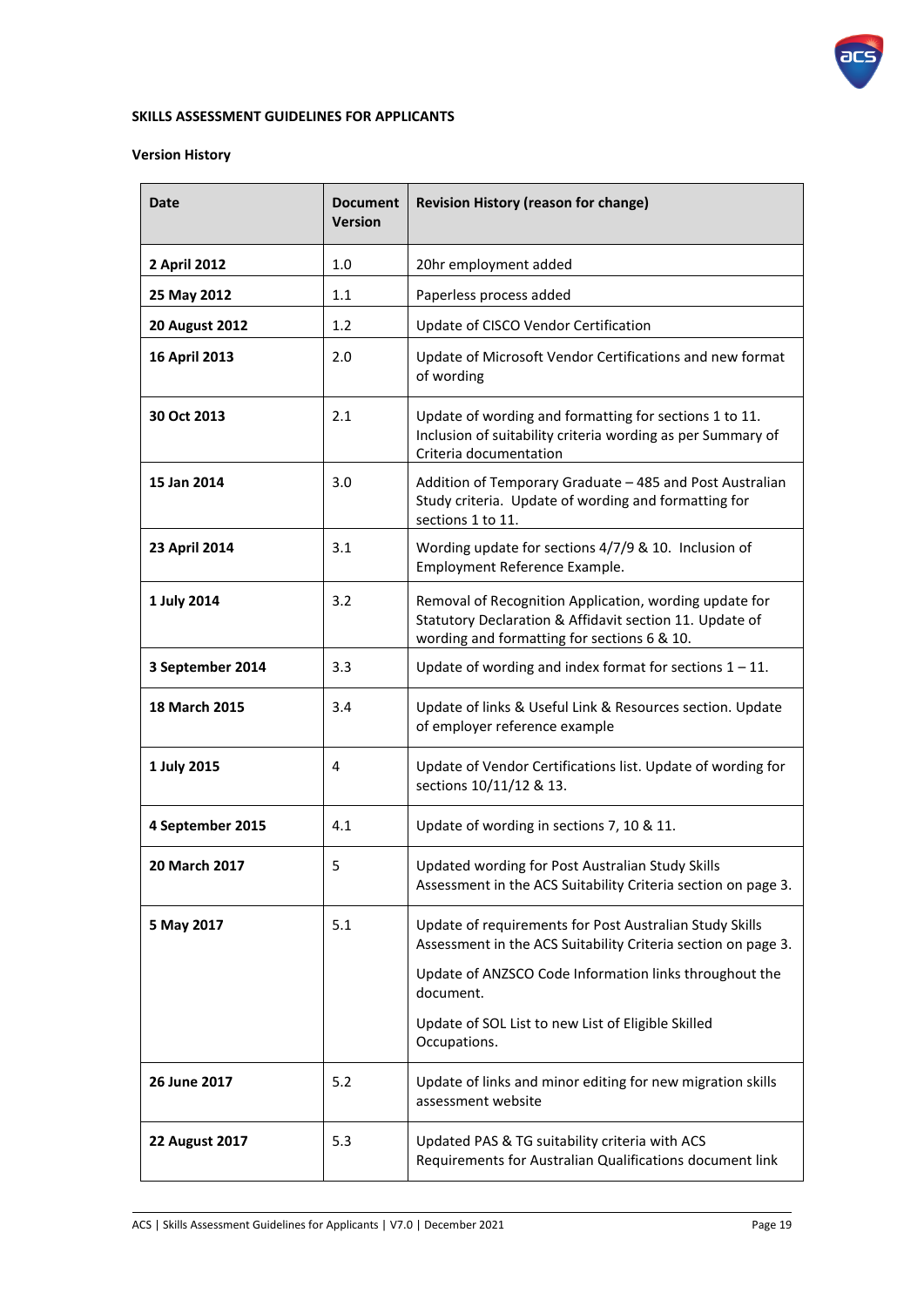

### **SKILLS ASSESSMENT GUIDELINES FOR APPLICANTS**

# **Version History**

| Date                  | <b>Document</b><br><b>Version</b> | <b>Revision History (reason for change)</b>                                                                                                                      |
|-----------------------|-----------------------------------|------------------------------------------------------------------------------------------------------------------------------------------------------------------|
| 2 April 2012          | 1.0                               | 20hr employment added                                                                                                                                            |
| 25 May 2012           | 1.1                               | Paperless process added                                                                                                                                          |
| <b>20 August 2012</b> | 1.2                               | Update of CISCO Vendor Certification                                                                                                                             |
| 16 April 2013         | 2.0                               | Update of Microsoft Vendor Certifications and new format<br>of wording                                                                                           |
| 30 Oct 2013           | 2.1                               | Update of wording and formatting for sections 1 to 11.<br>Inclusion of suitability criteria wording as per Summary of<br>Criteria documentation                  |
| 15 Jan 2014           | 3.0                               | Addition of Temporary Graduate - 485 and Post Australian<br>Study criteria. Update of wording and formatting for<br>sections 1 to 11.                            |
| 23 April 2014         | 3.1                               | Wording update for sections 4/7/9 & 10. Inclusion of<br>Employment Reference Example.                                                                            |
| 1 July 2014           | 3.2                               | Removal of Recognition Application, wording update for<br>Statutory Declaration & Affidavit section 11. Update of<br>wording and formatting for sections 6 & 10. |
| 3 September 2014      | 3.3                               | Update of wording and index format for sections $1 - 11$ .                                                                                                       |
| 18 March 2015         | 3.4                               | Update of links & Useful Link & Resources section. Update<br>of employer reference example                                                                       |
| 1 July 2015           | 4                                 | Update of Vendor Certifications list. Update of wording for<br>sections 10/11/12 & 13.                                                                           |
| 4 September 2015      | 4.1                               | Update of wording in sections 7, 10 & 11.                                                                                                                        |
| 20 March 2017         | 5                                 | Updated wording for Post Australian Study Skills<br>Assessment in the ACS Suitability Criteria section on page 3.                                                |
| 5 May 2017            | 5.1                               | Update of requirements for Post Australian Study Skills<br>Assessment in the ACS Suitability Criteria section on page 3.                                         |
|                       |                                   | Update of ANZSCO Code Information links throughout the<br>document.                                                                                              |
|                       |                                   | Update of SOL List to new List of Eligible Skilled<br>Occupations.                                                                                               |
| 26 June 2017          | 5.2                               | Update of links and minor editing for new migration skills<br>assessment website                                                                                 |
| <b>22 August 2017</b> | 5.3                               | Updated PAS & TG suitability criteria with ACS<br>Requirements for Australian Qualifications document link                                                       |